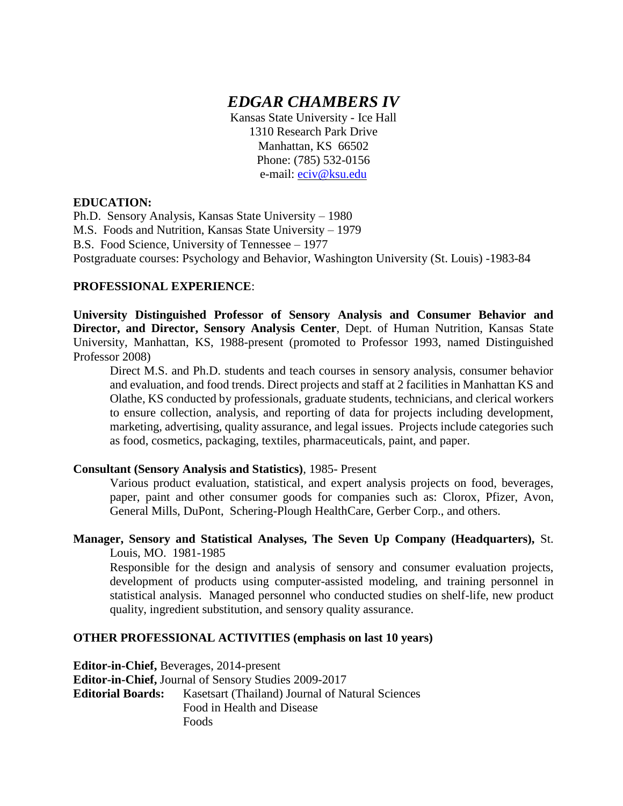# *EDGAR CHAMBERS IV*

Kansas State University - Ice Hall 1310 Research Park Drive Manhattan, KS 66502 Phone: (785) 532-0156 e-mail: [eciv@ksu.edu](mailto:eciv@ksu.edu)

#### **EDUCATION:**

Ph.D. Sensory Analysis, Kansas State University – 1980 M.S. Foods and Nutrition, Kansas State University – 1979 B.S. Food Science, University of Tennessee – 1977 Postgraduate courses: Psychology and Behavior, Washington University (St. Louis) -1983-84

#### **PROFESSIONAL EXPERIENCE**:

**University Distinguished Professor of Sensory Analysis and Consumer Behavior and Director, and Director, Sensory Analysis Center**, Dept. of Human Nutrition, Kansas State University, Manhattan, KS, 1988-present (promoted to Professor 1993, named Distinguished Professor 2008)

Direct M.S. and Ph.D. students and teach courses in sensory analysis, consumer behavior and evaluation, and food trends. Direct projects and staff at 2 facilities in Manhattan KS and Olathe, KS conducted by professionals, graduate students, technicians, and clerical workers to ensure collection, analysis, and reporting of data for projects including development, marketing, advertising, quality assurance, and legal issues. Projects include categories such as food, cosmetics, packaging, textiles, pharmaceuticals, paint, and paper.

#### **Consultant (Sensory Analysis and Statistics)**, 1985- Present

Various product evaluation, statistical, and expert analysis projects on food, beverages, paper, paint and other consumer goods for companies such as: Clorox, Pfizer, Avon, General Mills, DuPont, Schering-Plough HealthCare, Gerber Corp., and others.

### **Manager, Sensory and Statistical Analyses, The Seven Up Company (Headquarters),** St. Louis, MO. 1981-1985

Responsible for the design and analysis of sensory and consumer evaluation projects, development of products using computer-assisted modeling, and training personnel in statistical analysis. Managed personnel who conducted studies on shelf-life, new product quality, ingredient substitution, and sensory quality assurance.

### **OTHER PROFESSIONAL ACTIVITIES (emphasis on last 10 years)**

**Editor-in-Chief,** Beverages, 2014-present **Editor-in-Chief,** Journal of Sensory Studies 2009-2017 **Editorial Boards:** Kasetsart (Thailand) Journal of Natural Sciences Food in Health and Disease Foods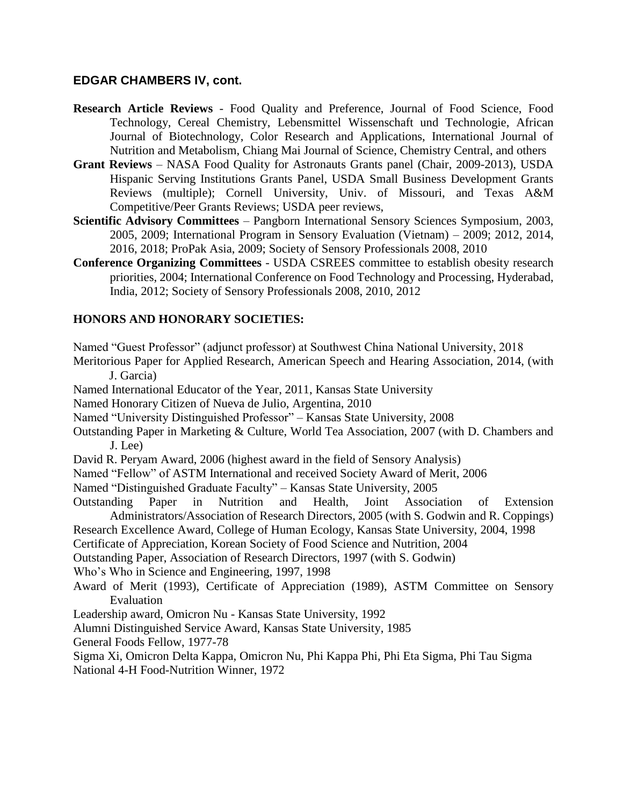- **Research Article Reviews** Food Quality and Preference, Journal of Food Science, Food Technology, Cereal Chemistry, Lebensmittel Wissenschaft und Technologie, African Journal of Biotechnology, Color Research and Applications, International Journal of Nutrition and Metabolism, Chiang Mai Journal of Science, Chemistry Central, and others
- **Grant Reviews** NASA Food Quality for Astronauts Grants panel (Chair, 2009-2013), USDA Hispanic Serving Institutions Grants Panel, USDA Small Business Development Grants Reviews (multiple); Cornell University, Univ. of Missouri, and Texas A&M Competitive/Peer Grants Reviews; USDA peer reviews,
- **Scientific Advisory Committees** Pangborn International Sensory Sciences Symposium, 2003, 2005, 2009; International Program in Sensory Evaluation (Vietnam) – 2009; 2012, 2014, 2016, 2018; ProPak Asia, 2009; Society of Sensory Professionals 2008, 2010
- **Conference Organizing Committees** USDA CSREES committee to establish obesity research priorities, 2004; International Conference on Food Technology and Processing, Hyderabad, India, 2012; Society of Sensory Professionals 2008, 2010, 2012

### **HONORS AND HONORARY SOCIETIES:**

Named "Guest Professor" (adjunct professor) at Southwest China National University, 2018

Meritorious Paper for Applied Research, American Speech and Hearing Association, 2014, (with J. Garcia)

Named International Educator of the Year, 2011, Kansas State University

Named Honorary Citizen of Nueva de Julio, Argentina, 2010

Named "University Distinguished Professor" – Kansas State University, 2008

Outstanding Paper in Marketing & Culture, World Tea Association, 2007 (with D. Chambers and J. Lee)

David R. Peryam Award, 2006 (highest award in the field of Sensory Analysis)

Named "Fellow" of ASTM International and received Society Award of Merit, 2006

Named "Distinguished Graduate Faculty" – Kansas State University, 2005

Outstanding Paper in Nutrition and Health, Joint Association of Extension Administrators/Association of Research Directors, 2005 (with S. Godwin and R. Coppings)

Research Excellence Award, College of Human Ecology, Kansas State University, 2004, 1998

Certificate of Appreciation, Korean Society of Food Science and Nutrition, 2004

Outstanding Paper, Association of Research Directors, 1997 (with S. Godwin)

Who's Who in Science and Engineering, 1997, 1998

- Award of Merit (1993), Certificate of Appreciation (1989), ASTM Committee on Sensory Evaluation
- Leadership award, Omicron Nu Kansas State University, 1992
- Alumni Distinguished Service Award, Kansas State University, 1985

General Foods Fellow, 1977-78

Sigma Xi, Omicron Delta Kappa, Omicron Nu, Phi Kappa Phi, Phi Eta Sigma, Phi Tau Sigma National 4-H Food-Nutrition Winner, 1972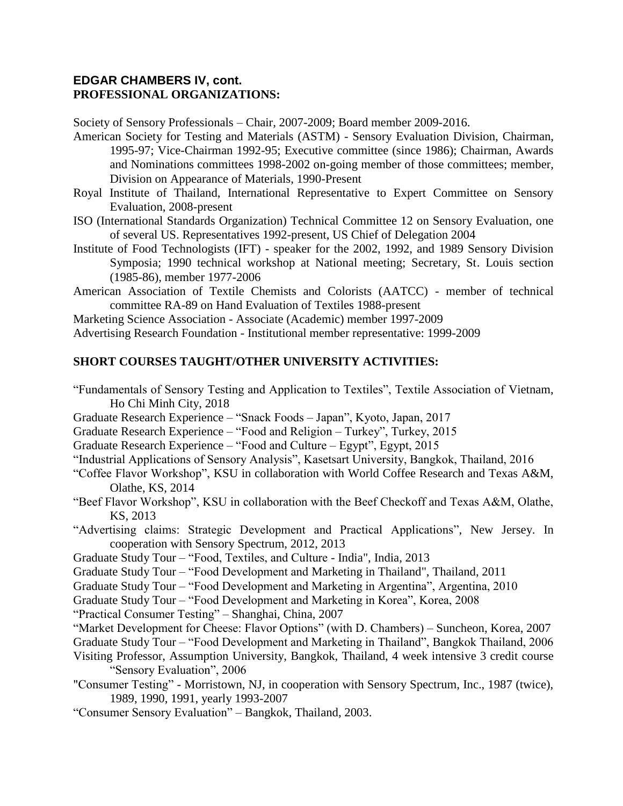### **EDGAR CHAMBERS IV, cont. PROFESSIONAL ORGANIZATIONS:**

Society of Sensory Professionals – Chair, 2007-2009; Board member 2009-2016.

American Society for Testing and Materials (ASTM) - Sensory Evaluation Division, Chairman, 1995-97; Vice-Chairman 1992-95; Executive committee (since 1986); Chairman, Awards and Nominations committees 1998-2002 on-going member of those committees; member, Division on Appearance of Materials, 1990-Present

- Royal Institute of Thailand, International Representative to Expert Committee on Sensory Evaluation, 2008-present
- ISO (International Standards Organization) Technical Committee 12 on Sensory Evaluation, one of several US. Representatives 1992-present, US Chief of Delegation 2004
- Institute of Food Technologists (IFT) speaker for the 2002, 1992, and 1989 Sensory Division Symposia; 1990 technical workshop at National meeting; Secretary, St. Louis section (1985-86), member 1977-2006
- American Association of Textile Chemists and Colorists (AATCC) member of technical committee RA-89 on Hand Evaluation of Textiles 1988-present

Marketing Science Association - Associate (Academic) member 1997-2009

Advertising Research Foundation - Institutional member representative: 1999-2009

### **SHORT COURSES TAUGHT/OTHER UNIVERSITY ACTIVITIES:**

- "Fundamentals of Sensory Testing and Application to Textiles", Textile Association of Vietnam, Ho Chi Minh City, 2018
- Graduate Research Experience "Snack Foods Japan", Kyoto, Japan, 2017
- Graduate Research Experience "Food and Religion Turkey", Turkey, 2015
- Graduate Research Experience "Food and Culture Egypt", Egypt, 2015
- "Industrial Applications of Sensory Analysis", Kasetsart University, Bangkok, Thailand, 2016
- "Coffee Flavor Workshop", KSU in collaboration with World Coffee Research and Texas A&M, Olathe, KS, 2014
- "Beef Flavor Workshop", KSU in collaboration with the Beef Checkoff and Texas A&M, Olathe, KS, 2013
- "Advertising claims: Strategic Development and Practical Applications", New Jersey. In cooperation with Sensory Spectrum, 2012, 2013
- Graduate Study Tour "Food, Textiles, and Culture India", India, 2013
- Graduate Study Tour "Food Development and Marketing in Thailand", Thailand, 2011
- Graduate Study Tour "Food Development and Marketing in Argentina", Argentina, 2010
- Graduate Study Tour "Food Development and Marketing in Korea", Korea, 2008
- "Practical Consumer Testing" Shanghai, China, 2007
- "Market Development for Cheese: Flavor Options" (with D. Chambers) Suncheon, Korea, 2007
- Graduate Study Tour "Food Development and Marketing in Thailand", Bangkok Thailand, 2006
- Visiting Professor, Assumption University, Bangkok, Thailand, 4 week intensive 3 credit course "Sensory Evaluation", 2006
- "Consumer Testing" Morristown, NJ, in cooperation with Sensory Spectrum, Inc., 1987 (twice), 1989, 1990, 1991, yearly 1993-2007
- "Consumer Sensory Evaluation" Bangkok, Thailand, 2003.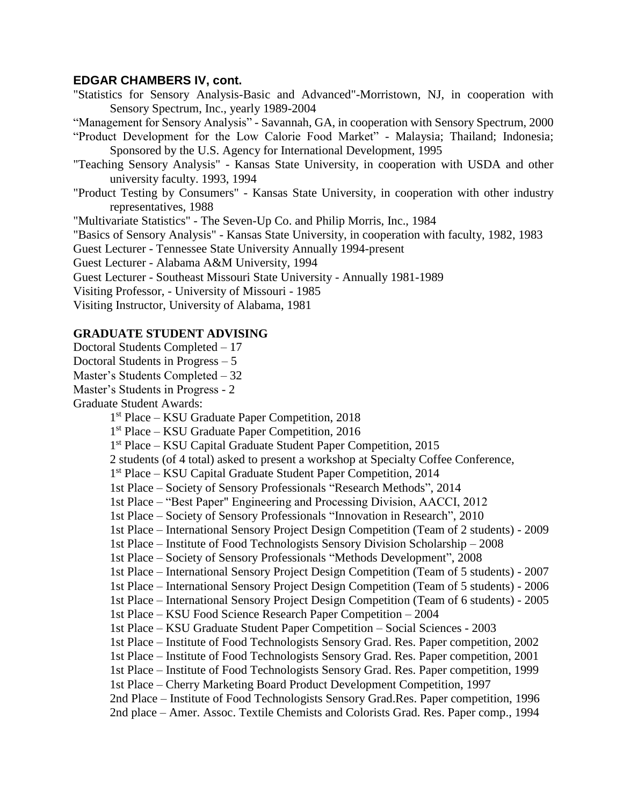"Statistics for Sensory Analysis-Basic and Advanced"-Morristown, NJ, in cooperation with Sensory Spectrum, Inc., yearly 1989-2004

"Management for Sensory Analysis" - Savannah, GA, in cooperation with Sensory Spectrum, 2000

- "Product Development for the Low Calorie Food Market" Malaysia; Thailand; Indonesia; Sponsored by the U.S. Agency for International Development, 1995
- "Teaching Sensory Analysis" Kansas State University, in cooperation with USDA and other university faculty. 1993, 1994
- "Product Testing by Consumers" Kansas State University, in cooperation with other industry representatives, 1988

"Multivariate Statistics" - The Seven-Up Co. and Philip Morris, Inc., 1984

"Basics of Sensory Analysis" - Kansas State University, in cooperation with faculty, 1982, 1983

Guest Lecturer - Tennessee State University Annually 1994-present

Guest Lecturer - Alabama A&M University, 1994

Guest Lecturer - Southeast Missouri State University - Annually 1981-1989

Visiting Professor, - University of Missouri - 1985

Visiting Instructor, University of Alabama, 1981

#### **GRADUATE STUDENT ADVISING**

- Doctoral Students Completed 17
- Doctoral Students in Progress 5
- Master's Students Completed 32
- Master's Students in Progress 2

Graduate Student Awards:

1 st Place – KSU Graduate Paper Competition, 2018

1 st Place – KSU Graduate Paper Competition, 2016

1 st Place – KSU Capital Graduate Student Paper Competition, 2015

2 students (of 4 total) asked to present a workshop at Specialty Coffee Conference,

- 1 st Place KSU Capital Graduate Student Paper Competition, 2014
- 1st Place Society of Sensory Professionals "Research Methods", 2014
- 1st Place "Best Paper" Engineering and Processing Division, AACCI, 2012
- 1st Place Society of Sensory Professionals "Innovation in Research", 2010
- 1st Place International Sensory Project Design Competition (Team of 2 students) 2009
- 1st Place Institute of Food Technologists Sensory Division Scholarship 2008
- 1st Place Society of Sensory Professionals "Methods Development", 2008
- 1st Place International Sensory Project Design Competition (Team of 5 students) 2007
- 1st Place International Sensory Project Design Competition (Team of 5 students) 2006
- 1st Place International Sensory Project Design Competition (Team of 6 students) 2005
- 1st Place KSU Food Science Research Paper Competition 2004
- 1st Place KSU Graduate Student Paper Competition Social Sciences 2003
- 1st Place Institute of Food Technologists Sensory Grad. Res. Paper competition, 2002
- 1st Place Institute of Food Technologists Sensory Grad. Res. Paper competition, 2001
- 1st Place Institute of Food Technologists Sensory Grad. Res. Paper competition, 1999
- 1st Place Cherry Marketing Board Product Development Competition, 1997

2nd Place – Institute of Food Technologists Sensory Grad.Res. Paper competition, 1996

2nd place – Amer. Assoc. Textile Chemists and Colorists Grad. Res. Paper comp., 1994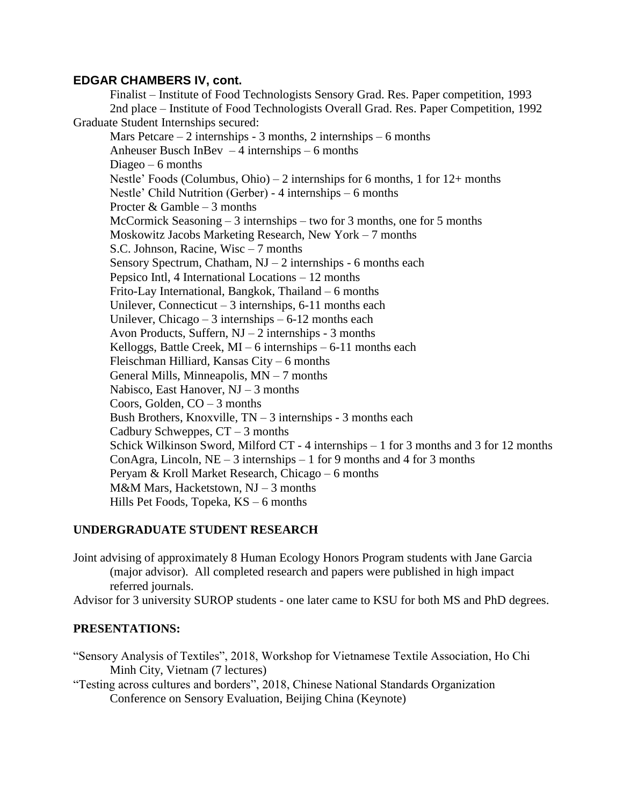Finalist – Institute of Food Technologists Sensory Grad. Res. Paper competition, 1993 2nd place – Institute of Food Technologists Overall Grad. Res. Paper Competition, 1992 Graduate Student Internships secured: Mars Petcare  $-2$  internships - 3 months, 2 internships  $-6$  months Anheuser Busch InBev  $-4$  internships  $-6$  months Diageo  $-6$  months Nestle' Foods (Columbus, Ohio) – 2 internships for 6 months, 1 for 12+ months Nestle' Child Nutrition (Gerber) - 4 internships – 6 months Procter  $&$  Gamble – 3 months McCormick Seasoning – 3 internships – two for 3 months, one for 5 months Moskowitz Jacobs Marketing Research, New York – 7 months S.C. Johnson, Racine, Wisc – 7 months Sensory Spectrum, Chatham,  $NJ - 2$  internships - 6 months each Pepsico Intl, 4 International Locations – 12 months Frito-Lay International, Bangkok, Thailand – 6 months Unilever, Connecticut – 3 internships,  $6-11$  months each Unilever, Chicago – 3 internships –  $6-12$  months each Avon Products, Suffern,  $NJ - 2$  internships - 3 months Kelloggs, Battle Creek,  $MI - 6$  internships  $-6-11$  months each Fleischman Hilliard, Kansas City – 6 months General Mills, Minneapolis, MN – 7 months Nabisco, East Hanover,  $NJ - 3$  months Coors, Golden,  $CO - 3$  months Bush Brothers, Knoxville, TN – 3 internships - 3 months each Cadbury Schweppes,  $CT - 3$  months Schick Wilkinson Sword, Milford CT - 4 internships – 1 for 3 months and 3 for 12 months ConAgra, Lincoln,  $NE - 3$  internships  $-1$  for 9 months and 4 for 3 months Peryam & Kroll Market Research, Chicago – 6 months M&M Mars, Hacketstown, NJ – 3 months Hills Pet Foods, Topeka, KS – 6 months

### **UNDERGRADUATE STUDENT RESEARCH**

Joint advising of approximately 8 Human Ecology Honors Program students with Jane Garcia (major advisor). All completed research and papers were published in high impact referred journals.

Advisor for 3 university SUROP students - one later came to KSU for both MS and PhD degrees.

#### **PRESENTATIONS:**

"Sensory Analysis of Textiles", 2018, Workshop for Vietnamese Textile Association, Ho Chi Minh City, Vietnam (7 lectures)

"Testing across cultures and borders", 2018, Chinese National Standards Organization Conference on Sensory Evaluation, Beijing China (Keynote)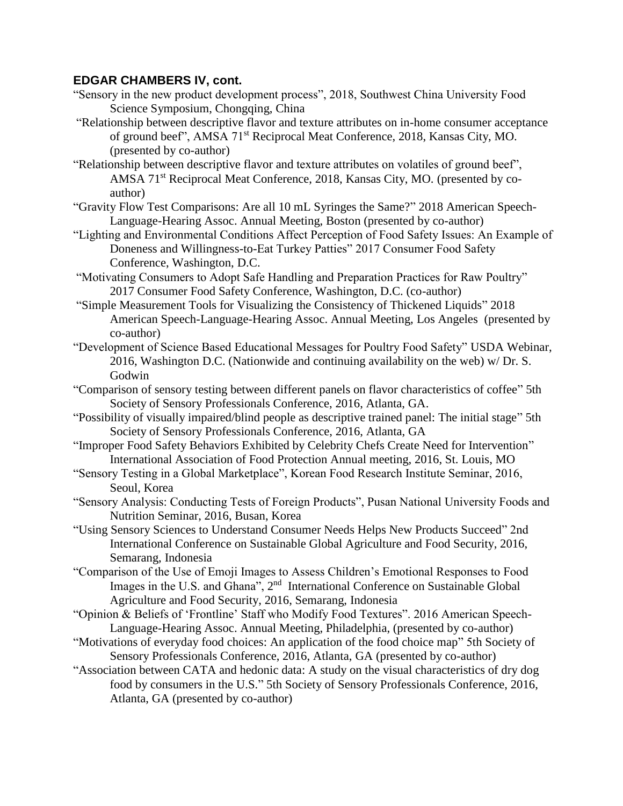- "Sensory in the new product development process", 2018, Southwest China University Food Science Symposium, Chongqing, China
- "Relationship between descriptive flavor and texture attributes on in-home consumer acceptance of ground beef", AMSA 71st Reciprocal Meat Conference, 2018, Kansas City, MO. (presented by co-author)
- "Relationship between descriptive flavor and texture attributes on volatiles of ground beef", AMSA 71st Reciprocal Meat Conference, 2018, Kansas City, MO. (presented by coauthor)
- "Gravity Flow Test Comparisons: Are all 10 mL Syringes the Same?" 2018 American Speech-Language-Hearing Assoc. Annual Meeting, Boston (presented by co-author)
- "Lighting and Environmental Conditions Affect Perception of Food Safety Issues: An Example of Doneness and Willingness-to-Eat Turkey Patties" 2017 Consumer Food Safety Conference, Washington, D.C.
- "Motivating Consumers to Adopt Safe Handling and Preparation Practices for Raw Poultry" 2017 Consumer Food Safety Conference, Washington, D.C. (co-author)
- "Simple Measurement Tools for Visualizing the Consistency of Thickened Liquids" 2018 American Speech-Language-Hearing Assoc. Annual Meeting, Los Angeles (presented by co-author)
- "Development of Science Based Educational Messages for Poultry Food Safety" USDA Webinar, 2016, Washington D.C. (Nationwide and continuing availability on the web) w/ Dr. S. Godwin
- "Comparison of sensory testing between different panels on flavor characteristics of coffee" 5th Society of Sensory Professionals Conference, 2016, Atlanta, GA.
- "Possibility of visually impaired/blind people as descriptive trained panel: The initial stage" 5th Society of Sensory Professionals Conference, 2016, Atlanta, GA
- "Improper Food Safety Behaviors Exhibited by Celebrity Chefs Create Need for Intervention" International Association of Food Protection Annual meeting, 2016, St. Louis, MO
- "Sensory Testing in a Global Marketplace", Korean Food Research Institute Seminar, 2016, Seoul, Korea
- "Sensory Analysis: Conducting Tests of Foreign Products", Pusan National University Foods and Nutrition Seminar, 2016, Busan, Korea
- "Using Sensory Sciences to Understand Consumer Needs Helps New Products Succeed" 2nd International Conference on Sustainable Global Agriculture and Food Security, 2016, Semarang, Indonesia
- "Comparison of the Use of Emoji Images to Assess Children's Emotional Responses to Food Images in the U.S. and Ghana", 2<sup>nd</sup> International Conference on Sustainable Global Agriculture and Food Security, 2016, Semarang, Indonesia
- "Opinion & Beliefs of 'Frontline' Staff who Modify Food Textures". 2016 American Speech-Language-Hearing Assoc. Annual Meeting, Philadelphia, (presented by co-author)
- "Motivations of everyday food choices: An application of the food choice map" 5th Society of Sensory Professionals Conference, 2016, Atlanta, GA (presented by co-author)
- "Association between CATA and hedonic data: A study on the visual characteristics of dry dog food by consumers in the U.S." 5th Society of Sensory Professionals Conference, 2016, Atlanta, GA (presented by co-author)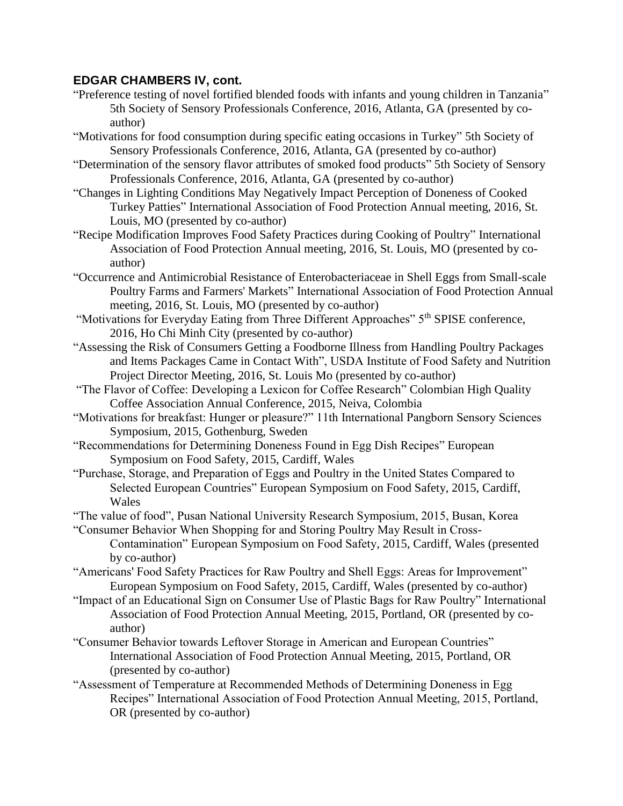- "Preference testing of novel fortified blended foods with infants and young children in Tanzania" 5th Society of Sensory Professionals Conference, 2016, Atlanta, GA (presented by coauthor)
- "Motivations for food consumption during specific eating occasions in Turkey" 5th Society of Sensory Professionals Conference, 2016, Atlanta, GA (presented by co-author)
- "Determination of the sensory flavor attributes of smoked food products" 5th Society of Sensory Professionals Conference, 2016, Atlanta, GA (presented by co-author)
- "Changes in Lighting Conditions May Negatively Impact Perception of Doneness of Cooked Turkey Patties" International Association of Food Protection Annual meeting, 2016, St. Louis, MO (presented by co-author)
- "Recipe Modification Improves Food Safety Practices during Cooking of Poultry" International Association of Food Protection Annual meeting, 2016, St. Louis, MO (presented by coauthor)
- "Occurrence and Antimicrobial Resistance of Enterobacteriaceae in Shell Eggs from Small-scale Poultry Farms and Farmers' Markets" International Association of Food Protection Annual meeting, 2016, St. Louis, MO (presented by co-author)
- "Motivations for Everyday Eating from Three Different Approaches" 5<sup>th</sup> SPISE conference. 2016, Ho Chi Minh City (presented by co-author)
- "Assessing the Risk of Consumers Getting a Foodborne Illness from Handling Poultry Packages and Items Packages Came in Contact With", USDA Institute of Food Safety and Nutrition Project Director Meeting, 2016, St. Louis Mo (presented by co-author)
- "The Flavor of Coffee: Developing a Lexicon for Coffee Research" Colombian High Quality Coffee Association Annual Conference, 2015, Neiva, Colombia
- "Motivations for breakfast: Hunger or pleasure?" 11th International Pangborn Sensory Sciences Symposium, 2015, Gothenburg, Sweden
- "Recommendations for Determining Doneness Found in Egg Dish Recipes" European Symposium on Food Safety, 2015, Cardiff, Wales
- "Purchase, Storage, and Preparation of Eggs and Poultry in the United States Compared to Selected European Countries" European Symposium on Food Safety, 2015, Cardiff, Wales
- "The value of food", Pusan National University Research Symposium, 2015, Busan, Korea
- "Consumer Behavior When Shopping for and Storing Poultry May Result in Cross-Contamination" European Symposium on Food Safety, 2015, Cardiff, Wales (presented by co-author)
- "Americans' Food Safety Practices for Raw Poultry and Shell Eggs: Areas for Improvement" European Symposium on Food Safety, 2015, Cardiff, Wales (presented by co-author)
- "Impact of an Educational Sign on Consumer Use of Plastic Bags for Raw Poultry" International Association of Food Protection Annual Meeting, 2015, Portland, OR (presented by coauthor)
- "Consumer Behavior towards Leftover Storage in American and European Countries" International Association of Food Protection Annual Meeting, 2015, Portland, OR (presented by co-author)
- "Assessment of Temperature at Recommended Methods of Determining Doneness in Egg Recipes" International Association of Food Protection Annual Meeting, 2015, Portland, OR (presented by co-author)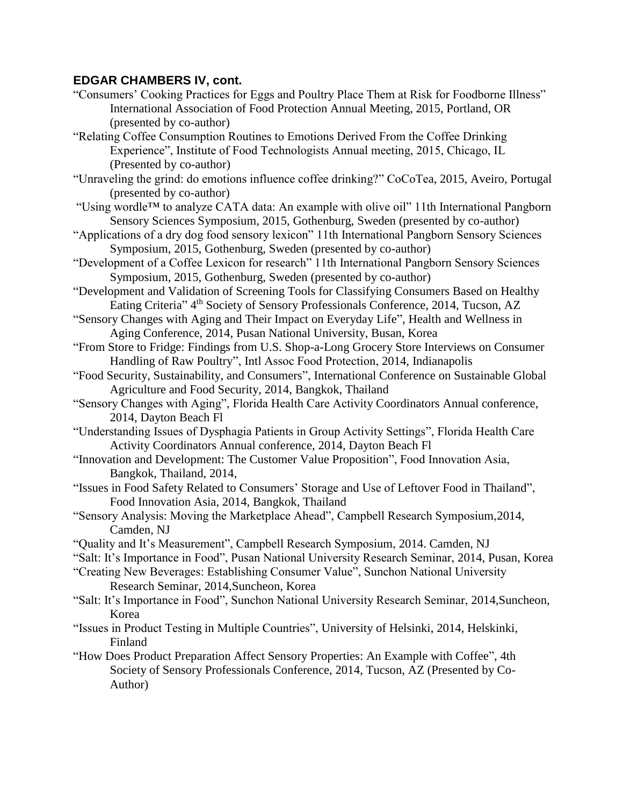- "Consumers' Cooking Practices for Eggs and Poultry Place Them at Risk for Foodborne Illness" International Association of Food Protection Annual Meeting, 2015, Portland, OR (presented by co-author)
- "Relating Coffee Consumption Routines to Emotions Derived From the Coffee Drinking Experience", Institute of Food Technologists Annual meeting, 2015, Chicago, IL (Presented by co-author)
- "Unraveling the grind: do emotions influence coffee drinking?" CoCoTea, 2015, Aveiro, Portugal (presented by co-author)
- "Using wordle™ to analyze CATA data: An example with olive oil" 11th International Pangborn Sensory Sciences Symposium, 2015, Gothenburg, Sweden (presented by co-author)
- "Applications of a dry dog food sensory lexicon" 11th International Pangborn Sensory Sciences Symposium, 2015, Gothenburg, Sweden (presented by co-author)
- "Development of a Coffee Lexicon for research" 11th International Pangborn Sensory Sciences Symposium, 2015, Gothenburg, Sweden (presented by co-author)
- "Development and Validation of Screening Tools for Classifying Consumers Based on Healthy Eating Criteria" 4<sup>th</sup> Society of Sensory Professionals Conference, 2014, Tucson, AZ
- "Sensory Changes with Aging and Their Impact on Everyday Life", Health and Wellness in Aging Conference, 2014, Pusan National University, Busan, Korea
- "From Store to Fridge: Findings from U.S. Shop-a-Long Grocery Store Interviews on Consumer Handling of Raw Poultry", Intl Assoc Food Protection, 2014, Indianapolis
- "Food Security, Sustainability, and Consumers", International Conference on Sustainable Global Agriculture and Food Security, 2014, Bangkok, Thailand
- "Sensory Changes with Aging", Florida Health Care Activity Coordinators Annual conference, 2014, Dayton Beach Fl
- "Understanding Issues of Dysphagia Patients in Group Activity Settings", Florida Health Care Activity Coordinators Annual conference, 2014, Dayton Beach Fl
- "Innovation and Development: The Customer Value Proposition", Food Innovation Asia, Bangkok, Thailand, 2014,
- "Issues in Food Safety Related to Consumers' Storage and Use of Leftover Food in Thailand", Food Innovation Asia, 2014, Bangkok, Thailand
- "Sensory Analysis: Moving the Marketplace Ahead", Campbell Research Symposium,2014, Camden, NJ
- "Quality and It's Measurement", Campbell Research Symposium, 2014. Camden, NJ
- "Salt: It's Importance in Food", Pusan National University Research Seminar, 2014, Pusan, Korea
- "Creating New Beverages: Establishing Consumer Value", Sunchon National University Research Seminar, 2014,Suncheon, Korea
- "Salt: It's Importance in Food", Sunchon National University Research Seminar, 2014,Suncheon, Korea
- "Issues in Product Testing in Multiple Countries", University of Helsinki, 2014, Helskinki, Finland
- "How Does Product Preparation Affect Sensory Properties: An Example with Coffee", 4th Society of Sensory Professionals Conference, 2014, Tucson, AZ (Presented by Co-Author)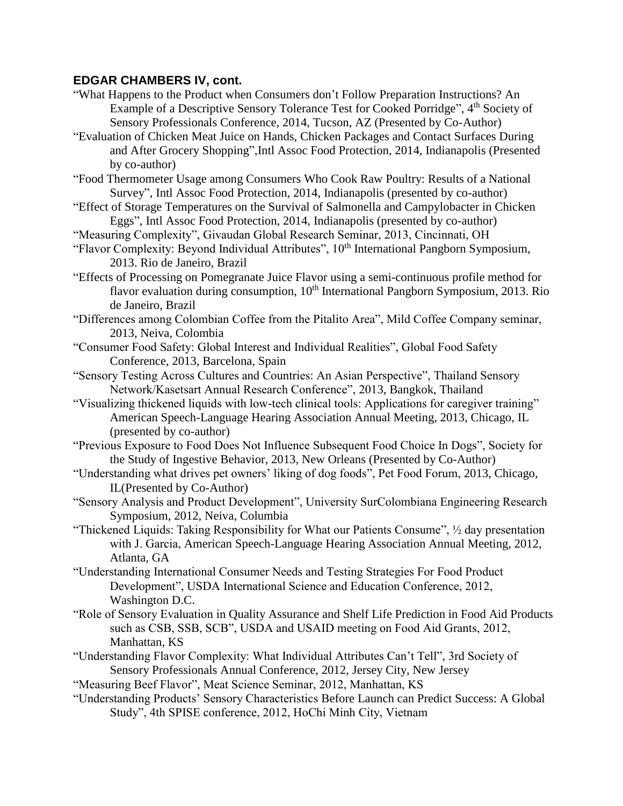- "What Happens to the Product when Consumers don't Follow Preparation Instructions? An Example of a Descriptive Sensory Tolerance Test for Cooked Porridge", 4<sup>th</sup> Society of Sensory Professionals Conference, 2014, Tucson, AZ (Presented by Co-Author)
- "Evaluation of Chicken Meat Juice on Hands, Chicken Packages and Contact Surfaces During and After Grocery Shopping",Intl Assoc Food Protection, 2014, Indianapolis (Presented by co-author)
- "Food Thermometer Usage among Consumers Who Cook Raw Poultry: Results of a National Survey", Intl Assoc Food Protection, 2014, Indianapolis (presented by co-author)
- "Effect of Storage Temperatures on the Survival of Salmonella and Campylobacter in Chicken Eggs", Intl Assoc Food Protection, 2014, Indianapolis (presented by co-author)
- "Measuring Complexity", Givaudan Global Research Seminar, 2013, Cincinnati, OH
- "Flavor Complexity: Beyond Individual Attributes", 10<sup>th</sup> International Pangborn Symposium, 2013. Rio de Janeiro, Brazil
- "Effects of Processing on Pomegranate Juice Flavor using a semi-continuous profile method for flavor evaluation during consumption, 10<sup>th</sup> International Pangborn Symposium, 2013. Rio de Janeiro, Brazil
- "Differences among Colombian Coffee from the Pitalito Area", Mild Coffee Company seminar, 2013, Neiva, Colombia
- "Consumer Food Safety: Global Interest and Individual Realities", Global Food Safety Conference, 2013, Barcelona, Spain
- "Sensory Testing Across Cultures and Countries: An Asian Perspective", Thailand Sensory Network/Kasetsart Annual Research Conference", 2013, Bangkok, Thailand
- "Visualizing thickened liquids with low-tech clinical tools: Applications for caregiver training" American Speech-Language Hearing Association Annual Meeting, 2013, Chicago, IL (presented by co-author)
- "Previous Exposure to Food Does Not Influence Subsequent Food Choice In Dogs", Society for the Study of Ingestive Behavior, 2013, New Orleans (Presented by Co-Author)
- "Understanding what drives pet owners' liking of dog foods", Pet Food Forum, 2013, Chicago, IL(Presented by Co-Author)
- "Sensory Analysis and Product Development", University SurColombiana Engineering Research Symposium, 2012, Neiva, Columbia
- "Thickened Liquids: Taking Responsibility for What our Patients Consume", ½ day presentation with J. Garcia, American Speech-Language Hearing Association Annual Meeting, 2012, Atlanta, GA
- "Understanding International Consumer Needs and Testing Strategies For Food Product Development", USDA International Science and Education Conference, 2012, Washington D.C.
- "Role of Sensory Evaluation in Quality Assurance and Shelf Life Prediction in Food Aid Products such as CSB, SSB, SCB", USDA and USAID meeting on Food Aid Grants, 2012, Manhattan, KS
- "Understanding Flavor Complexity: What Individual Attributes Can't Tell", 3rd Society of Sensory Professionals Annual Conference, 2012, Jersey City, New Jersey
- "Measuring Beef Flavor", Meat Science Seminar, 2012, Manhattan, KS
- "Understanding Products' Sensory Characteristics Before Launch can Predict Success: A Global Study", 4th SPISE conference, 2012, HoChi Minh City, Vietnam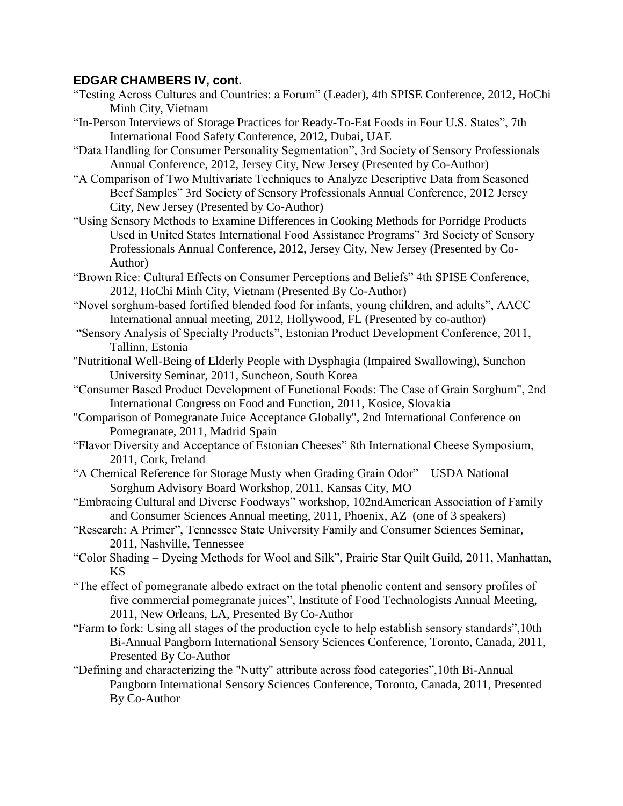- "Testing Across Cultures and Countries: a Forum" (Leader), 4th SPISE Conference, 2012, HoChi Minh City, Vietnam
- "In-Person Interviews of Storage Practices for Ready-To-Eat Foods in Four U.S. States", 7th International Food Safety Conference, 2012, Dubai, UAE
- "Data Handling for Consumer Personality Segmentation", 3rd Society of Sensory Professionals Annual Conference, 2012, Jersey City, New Jersey (Presented by Co-Author)
- "A Comparison of Two Multivariate Techniques to Analyze Descriptive Data from Seasoned Beef Samples" 3rd Society of Sensory Professionals Annual Conference, 2012 Jersey City, New Jersey (Presented by Co-Author)
- "Using Sensory Methods to Examine Differences in Cooking Methods for Porridge Products Used in United States International Food Assistance Programs" 3rd Society of Sensory Professionals Annual Conference, 2012, Jersey City, New Jersey (Presented by Co-Author)
- "Brown Rice: Cultural Effects on Consumer Perceptions and Beliefs" 4th SPISE Conference, 2012, HoChi Minh City, Vietnam (Presented By Co-Author)
- "Novel sorghum-based fortified blended food for infants, young children, and adults", AACC International annual meeting, 2012, Hollywood, FL (Presented by co-author)
- "Sensory Analysis of Specialty Products", Estonian Product Development Conference, 2011, Tallinn, Estonia
- "Nutritional Well-Being of Elderly People with Dysphagia (Impaired Swallowing), Sunchon University Seminar, 2011, Suncheon, South Korea
- "Consumer Based Product Development of Functional Foods: The Case of Grain Sorghum", 2nd International Congress on Food and Function, 2011, Kosice, Slovakia
- "Comparison of Pomegranate Juice Acceptance Globally", 2nd International Conference on Pomegranate, 2011, Madrid Spain
- "Flavor Diversity and Acceptance of Estonian Cheeses" 8th International Cheese Symposium, 2011, Cork, Ireland
- "A Chemical Reference for Storage Musty when Grading Grain Odor" USDA National Sorghum Advisory Board Workshop, 2011, Kansas City, MO
- "Embracing Cultural and Diverse Foodways" workshop, 102ndAmerican Association of Family and Consumer Sciences Annual meeting, 2011, Phoenix, AZ (one of 3 speakers)
- "Research: A Primer", Tennessee State University Family and Consumer Sciences Seminar, 2011, Nashville, Tennessee
- "Color Shading Dyeing Methods for Wool and Silk", Prairie Star Quilt Guild, 2011, Manhattan, KS
- "The effect of pomegranate albedo extract on the total phenolic content and sensory profiles of five commercial pomegranate juices", Institute of Food Technologists Annual Meeting, 2011, New Orleans, LA, Presented By Co-Author
- "Farm to fork: Using all stages of the production cycle to help establish sensory standards",10th Bi-Annual Pangborn International Sensory Sciences Conference, Toronto, Canada, 2011, Presented By Co-Author
- "Defining and characterizing the "Nutty" attribute across food categories",10th Bi-Annual Pangborn International Sensory Sciences Conference, Toronto, Canada, 2011, Presented By Co-Author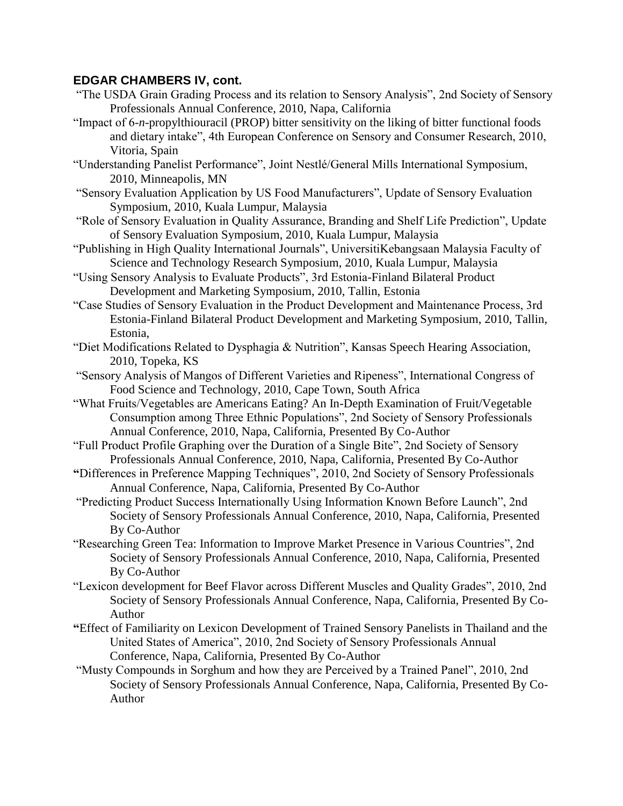- "The USDA Grain Grading Process and its relation to Sensory Analysis", 2nd Society of Sensory Professionals Annual Conference, 2010, Napa, California
- "Impact of 6-*n*-propylthiouracil (PROP) bitter sensitivity on the liking of bitter functional foods and dietary intake", 4th European Conference on Sensory and Consumer Research, 2010, Vitoria, Spain
- "Understanding Panelist Performance", Joint Nestlé/General Mills International Symposium, 2010, Minneapolis, MN
- "Sensory Evaluation Application by US Food Manufacturers", Update of Sensory Evaluation Symposium, 2010, Kuala Lumpur, Malaysia
- "Role of Sensory Evaluation in Quality Assurance, Branding and Shelf Life Prediction", Update of Sensory Evaluation Symposium, 2010, Kuala Lumpur, Malaysia
- "Publishing in High Quality International Journals", UniversitiKebangsaan Malaysia Faculty of Science and Technology Research Symposium, 2010, Kuala Lumpur, Malaysia
- "Using Sensory Analysis to Evaluate Products", 3rd Estonia-Finland Bilateral Product Development and Marketing Symposium, 2010, Tallin, Estonia
- "Case Studies of Sensory Evaluation in the Product Development and Maintenance Process, 3rd Estonia-Finland Bilateral Product Development and Marketing Symposium, 2010, Tallin, Estonia,
- "Diet Modifications Related to Dysphagia & Nutrition", Kansas Speech Hearing Association, 2010, Topeka, KS
- "Sensory Analysis of Mangos of Different Varieties and Ripeness", International Congress of Food Science and Technology, 2010, Cape Town, South Africa
- "What Fruits/Vegetables are Americans Eating? An In-Depth Examination of Fruit/Vegetable Consumption among Three Ethnic Populations", 2nd Society of Sensory Professionals Annual Conference, 2010, Napa, California, Presented By Co-Author
- "Full Product Profile Graphing over the Duration of a Single Bite", 2nd Society of Sensory Professionals Annual Conference, 2010, Napa, California, Presented By Co-Author
- **"**Differences in Preference Mapping Techniques", 2010, 2nd Society of Sensory Professionals Annual Conference, Napa, California, Presented By Co-Author
- "Predicting Product Success Internationally Using Information Known Before Launch", 2nd Society of Sensory Professionals Annual Conference, 2010, Napa, California, Presented By Co-Author
- "Researching Green Tea: Information to Improve Market Presence in Various Countries", 2nd Society of Sensory Professionals Annual Conference, 2010, Napa, California, Presented By Co-Author
- "Lexicon development for Beef Flavor across Different Muscles and Quality Grades", 2010, 2nd Society of Sensory Professionals Annual Conference, Napa, California, Presented By Co-Author
- **"**Effect of Familiarity on Lexicon Development of Trained Sensory Panelists in Thailand and the United States of America", 2010, 2nd Society of Sensory Professionals Annual Conference, Napa, California, Presented By Co-Author
- "Musty Compounds in Sorghum and how they are Perceived by a Trained Panel", 2010, 2nd Society of Sensory Professionals Annual Conference, Napa, California, Presented By Co-Author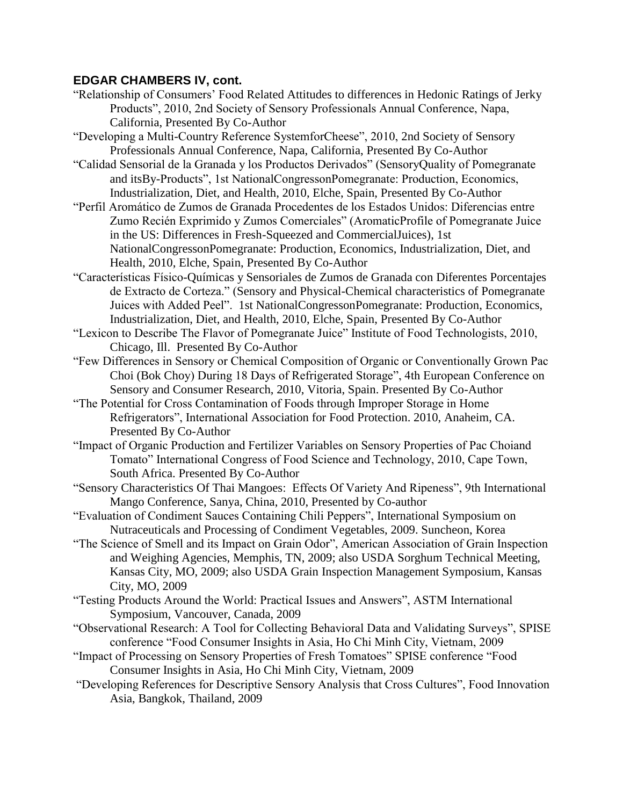- "Relationship of Consumers' Food Related Attitudes to differences in Hedonic Ratings of Jerky Products", 2010, 2nd Society of Sensory Professionals Annual Conference, Napa, California, Presented By Co-Author
- "Developing a Multi-Country Reference SystemforCheese", 2010, 2nd Society of Sensory Professionals Annual Conference, Napa, California, Presented By Co-Author
- "Calidad Sensorial de la Granada y los Productos Derivados" (SensoryQuality of Pomegranate and itsBy-Products", 1st NationalCongressonPomegranate: Production, Economics, Industrialization, Diet, and Health, 2010, Elche, Spain, Presented By Co-Author
- "Perfil Aromático de Zumos de Granada Procedentes de los Estados Unidos: Diferencias entre Zumo Recién Exprimido y Zumos Comerciales" (AromaticProfile of Pomegranate Juice in the US: Differences in Fresh-Squeezed and CommercialJuices), 1st NationalCongressonPomegranate: Production, Economics, Industrialization, Diet, and Health, 2010, Elche, Spain, Presented By Co-Author
- "Características Físico-Químicas y Sensoriales de Zumos de Granada con Diferentes Porcentajes de Extracto de Corteza." (Sensory and Physical-Chemical characteristics of Pomegranate Juices with Added Peel". 1st NationalCongressonPomegranate: Production, Economics, Industrialization, Diet, and Health, 2010, Elche, Spain, Presented By Co-Author
- "Lexicon to Describe The Flavor of Pomegranate Juice" Institute of Food Technologists, 2010, Chicago, Ill. Presented By Co-Author
- "Few Differences in Sensory or Chemical Composition of Organic or Conventionally Grown Pac Choi (Bok Choy) During 18 Days of Refrigerated Storage", 4th European Conference on Sensory and Consumer Research, 2010, Vitoria, Spain. Presented By Co-Author
- "The Potential for Cross Contamination of Foods through Improper Storage in Home Refrigerators", International Association for Food Protection. 2010, Anaheim, CA. Presented By Co-Author
- "Impact of Organic Production and Fertilizer Variables on Sensory Properties of Pac Choiand Tomato" International Congress of Food Science and Technology, 2010, Cape Town, South Africa. Presented By Co-Author
- "Sensory Characteristics Of Thai Mangoes: Effects Of Variety And Ripeness", 9th International Mango Conference, Sanya, China, 2010, Presented by Co-author
- "Evaluation of Condiment Sauces Containing Chili Peppers", International Symposium on Nutraceuticals and Processing of Condiment Vegetables, 2009. Suncheon, Korea
- "The Science of Smell and its Impact on Grain Odor", American Association of Grain Inspection and Weighing Agencies, Memphis, TN, 2009; also USDA Sorghum Technical Meeting, Kansas City, MO, 2009; also USDA Grain Inspection Management Symposium, Kansas City, MO, 2009
- "Testing Products Around the World: Practical Issues and Answers", ASTM International Symposium, Vancouver, Canada, 2009
- "Observational Research: A Tool for Collecting Behavioral Data and Validating Surveys", SPISE conference "Food Consumer Insights in Asia, Ho Chi Minh City, Vietnam, 2009
- "Impact of Processing on Sensory Properties of Fresh Tomatoes" SPISE conference "Food Consumer Insights in Asia, Ho Chi Minh City, Vietnam, 2009
- "Developing References for Descriptive Sensory Analysis that Cross Cultures", Food Innovation Asia, Bangkok, Thailand, 2009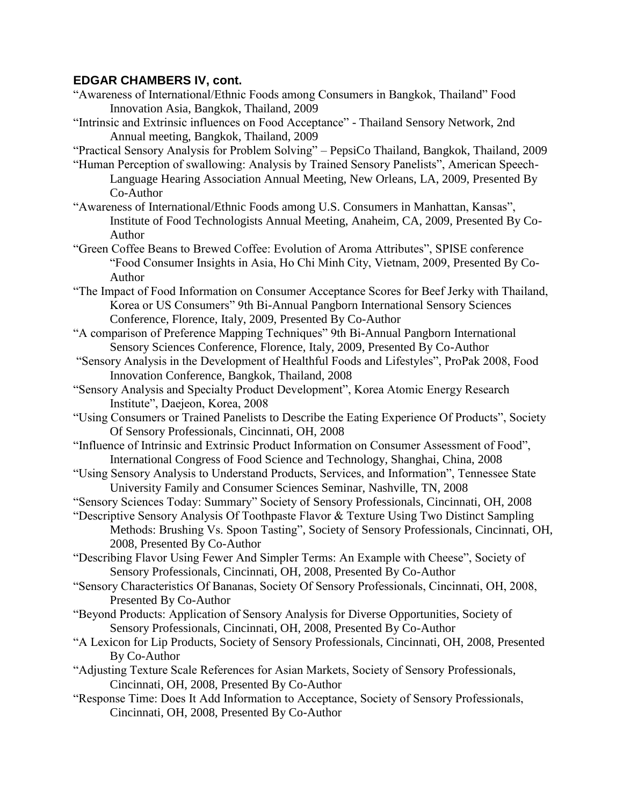- "Awareness of International/Ethnic Foods among Consumers in Bangkok, Thailand" Food Innovation Asia, Bangkok, Thailand, 2009
- "Intrinsic and Extrinsic influences on Food Acceptance" Thailand Sensory Network, 2nd Annual meeting, Bangkok, Thailand, 2009
- "Practical Sensory Analysis for Problem Solving" PepsiCo Thailand, Bangkok, Thailand, 2009
- "Human Perception of swallowing: Analysis by Trained Sensory Panelists", American Speech-Language Hearing Association Annual Meeting, New Orleans, LA, 2009, Presented By Co-Author
- "Awareness of International/Ethnic Foods among U.S. Consumers in Manhattan, Kansas", Institute of Food Technologists Annual Meeting, Anaheim, CA, 2009, Presented By Co-Author
- "Green Coffee Beans to Brewed Coffee: Evolution of Aroma Attributes", SPISE conference "Food Consumer Insights in Asia, Ho Chi Minh City, Vietnam, 2009, Presented By Co-Author
- "The Impact of Food Information on Consumer Acceptance Scores for Beef Jerky with Thailand, Korea or US Consumers" 9th Bi-Annual Pangborn International Sensory Sciences Conference, Florence, Italy, 2009, Presented By Co-Author
- "A comparison of Preference Mapping Techniques" 9th Bi-Annual Pangborn International Sensory Sciences Conference, Florence, Italy, 2009, Presented By Co-Author
- "Sensory Analysis in the Development of Healthful Foods and Lifestyles", ProPak 2008, Food Innovation Conference, Bangkok, Thailand, 2008
- "Sensory Analysis and Specialty Product Development", Korea Atomic Energy Research Institute", Daejeon, Korea, 2008
- "Using Consumers or Trained Panelists to Describe the Eating Experience Of Products", Society Of Sensory Professionals, Cincinnati, OH, 2008
- "Influence of Intrinsic and Extrinsic Product Information on Consumer Assessment of Food", International Congress of Food Science and Technology, Shanghai, China, 2008
- "Using Sensory Analysis to Understand Products, Services, and Information", Tennessee State University Family and Consumer Sciences Seminar, Nashville, TN, 2008
- "Sensory Sciences Today: Summary" Society of Sensory Professionals, Cincinnati, OH, 2008
- "Descriptive Sensory Analysis Of Toothpaste Flavor & Texture Using Two Distinct Sampling Methods: Brushing Vs. Spoon Tasting", Society of Sensory Professionals, Cincinnati, OH, 2008, Presented By Co-Author
- "Describing Flavor Using Fewer And Simpler Terms: An Example with Cheese", Society of Sensory Professionals, Cincinnati, OH, 2008, Presented By Co-Author
- "Sensory Characteristics Of Bananas, Society Of Sensory Professionals, Cincinnati, OH, 2008, Presented By Co-Author
- "Beyond Products: Application of Sensory Analysis for Diverse Opportunities, Society of Sensory Professionals, Cincinnati, OH, 2008, Presented By Co-Author
- "A Lexicon for Lip Products, Society of Sensory Professionals, Cincinnati, OH, 2008, Presented By Co-Author
- "Adjusting Texture Scale References for Asian Markets, Society of Sensory Professionals, Cincinnati, OH, 2008, Presented By Co-Author
- "Response Time: Does It Add Information to Acceptance, Society of Sensory Professionals, Cincinnati, OH, 2008, Presented By Co-Author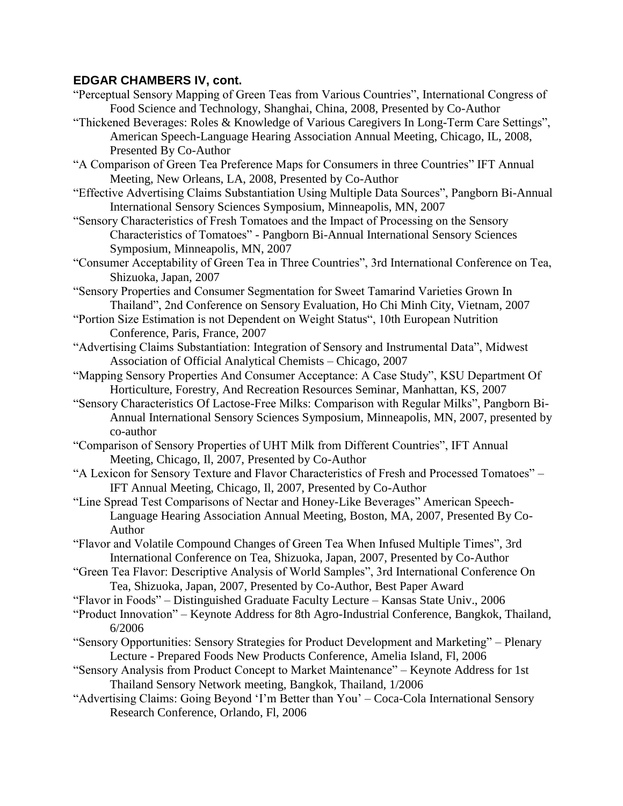- "Perceptual Sensory Mapping of Green Teas from Various Countries", International Congress of Food Science and Technology, Shanghai, China, 2008, Presented by Co-Author
- "Thickened Beverages: Roles & Knowledge of Various Caregivers In Long-Term Care Settings", American Speech-Language Hearing Association Annual Meeting, Chicago, IL, 2008, Presented By Co-Author
- "A Comparison of Green Tea Preference Maps for Consumers in three Countries" IFT Annual Meeting, New Orleans, LA, 2008, Presented by Co-Author
- "Effective Advertising Claims Substantiation Using Multiple Data Sources", Pangborn Bi-Annual International Sensory Sciences Symposium, Minneapolis, MN, 2007
- "Sensory Characteristics of Fresh Tomatoes and the Impact of Processing on the Sensory Characteristics of Tomatoes" - Pangborn Bi-Annual International Sensory Sciences Symposium, Minneapolis, MN, 2007
- "Consumer Acceptability of Green Tea in Three Countries", 3rd International Conference on Tea, Shizuoka, Japan, 2007
- "Sensory Properties and Consumer Segmentation for Sweet Tamarind Varieties Grown In Thailand", 2nd Conference on Sensory Evaluation, Ho Chi Minh City, Vietnam, 2007
- "Portion Size Estimation is not Dependent on Weight Status", 10th European Nutrition Conference, Paris, France, 2007
- "Advertising Claims Substantiation: Integration of Sensory and Instrumental Data", Midwest Association of Official Analytical Chemists – Chicago, 2007
- "Mapping Sensory Properties And Consumer Acceptance: A Case Study", KSU Department Of Horticulture, Forestry, And Recreation Resources Seminar, Manhattan, KS, 2007
- "Sensory Characteristics Of Lactose-Free Milks: Comparison with Regular Milks", Pangborn Bi-Annual International Sensory Sciences Symposium, Minneapolis, MN, 2007, presented by co-author
- "Comparison of Sensory Properties of UHT Milk from Different Countries", IFT Annual Meeting, Chicago, Il, 2007, Presented by Co-Author
- "A Lexicon for Sensory Texture and Flavor Characteristics of Fresh and Processed Tomatoes" IFT Annual Meeting, Chicago, Il, 2007, Presented by Co-Author
- "Line Spread Test Comparisons of Nectar and Honey-Like Beverages" American Speech-Language Hearing Association Annual Meeting, Boston, MA, 2007, Presented By Co-Author
- "Flavor and Volatile Compound Changes of Green Tea When Infused Multiple Times", 3rd International Conference on Tea, Shizuoka, Japan, 2007, Presented by Co-Author
- "Green Tea Flavor: Descriptive Analysis of World Samples", 3rd International Conference On Tea, Shizuoka, Japan, 2007, Presented by Co-Author, Best Paper Award
- "Flavor in Foods" Distinguished Graduate Faculty Lecture Kansas State Univ., 2006
- "Product Innovation" Keynote Address for 8th Agro-Industrial Conference, Bangkok, Thailand, 6/2006
- "Sensory Opportunities: Sensory Strategies for Product Development and Marketing" Plenary Lecture - Prepared Foods New Products Conference, Amelia Island, Fl, 2006
- "Sensory Analysis from Product Concept to Market Maintenance" Keynote Address for 1st Thailand Sensory Network meeting, Bangkok, Thailand, 1/2006
- "Advertising Claims: Going Beyond 'I'm Better than You' Coca-Cola International Sensory Research Conference, Orlando, Fl, 2006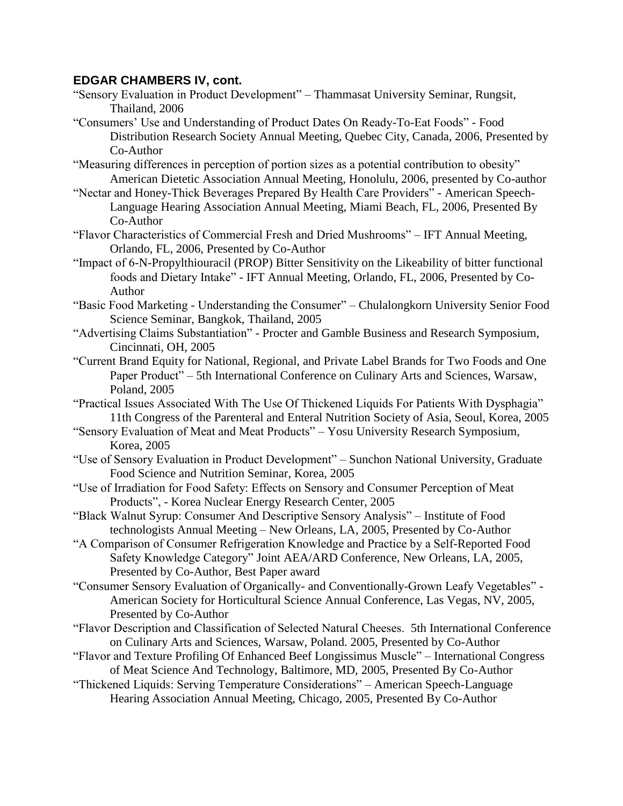- "Sensory Evaluation in Product Development" Thammasat University Seminar, Rungsit, Thailand, 2006
- "Consumers' Use and Understanding of Product Dates On Ready-To-Eat Foods" Food Distribution Research Society Annual Meeting, Quebec City, Canada, 2006, Presented by Co-Author
- "Measuring differences in perception of portion sizes as a potential contribution to obesity" American Dietetic Association Annual Meeting, Honolulu, 2006, presented by Co-author
- "Nectar and Honey-Thick Beverages Prepared By Health Care Providers" American Speech-Language Hearing Association Annual Meeting, Miami Beach, FL, 2006, Presented By Co-Author
- "Flavor Characteristics of Commercial Fresh and Dried Mushrooms" IFT Annual Meeting, Orlando, FL, 2006, Presented by Co-Author
- "Impact of 6-N-Propylthiouracil (PROP) Bitter Sensitivity on the Likeability of bitter functional foods and Dietary Intake" - IFT Annual Meeting, Orlando, FL, 2006, Presented by Co-Author
- "Basic Food Marketing Understanding the Consumer" Chulalongkorn University Senior Food Science Seminar, Bangkok, Thailand, 2005
- "Advertising Claims Substantiation" Procter and Gamble Business and Research Symposium, Cincinnati, OH, 2005
- "Current Brand Equity for National, Regional, and Private Label Brands for Two Foods and One Paper Product" – 5th International Conference on Culinary Arts and Sciences, Warsaw, Poland, 2005
- "Practical Issues Associated With The Use Of Thickened Liquids For Patients With Dysphagia" 11th Congress of the Parenteral and Enteral Nutrition Society of Asia, Seoul, Korea, 2005
- "Sensory Evaluation of Meat and Meat Products" Yosu University Research Symposium, Korea, 2005
- "Use of Sensory Evaluation in Product Development" Sunchon National University, Graduate Food Science and Nutrition Seminar, Korea, 2005
- "Use of Irradiation for Food Safety: Effects on Sensory and Consumer Perception of Meat Products", - Korea Nuclear Energy Research Center, 2005
- "Black Walnut Syrup: Consumer And Descriptive Sensory Analysis" Institute of Food technologists Annual Meeting – New Orleans, LA, 2005, Presented by Co-Author
- "A Comparison of Consumer Refrigeration Knowledge and Practice by a Self-Reported Food Safety Knowledge Category" Joint AEA/ARD Conference, New Orleans, LA, 2005, Presented by Co-Author, Best Paper award
- "Consumer Sensory Evaluation of Organically- and Conventionally-Grown Leafy Vegetables" American Society for Horticultural Science Annual Conference, Las Vegas, NV, 2005, Presented by Co-Author
- "Flavor Description and Classification of Selected Natural Cheeses. 5th International Conference on Culinary Arts and Sciences, Warsaw, Poland. 2005, Presented by Co-Author
- "Flavor and Texture Profiling Of Enhanced Beef Longissimus Muscle" International Congress of Meat Science And Technology, Baltimore, MD, 2005, Presented By Co-Author
- "Thickened Liquids: Serving Temperature Considerations" American Speech-Language Hearing Association Annual Meeting, Chicago, 2005, Presented By Co-Author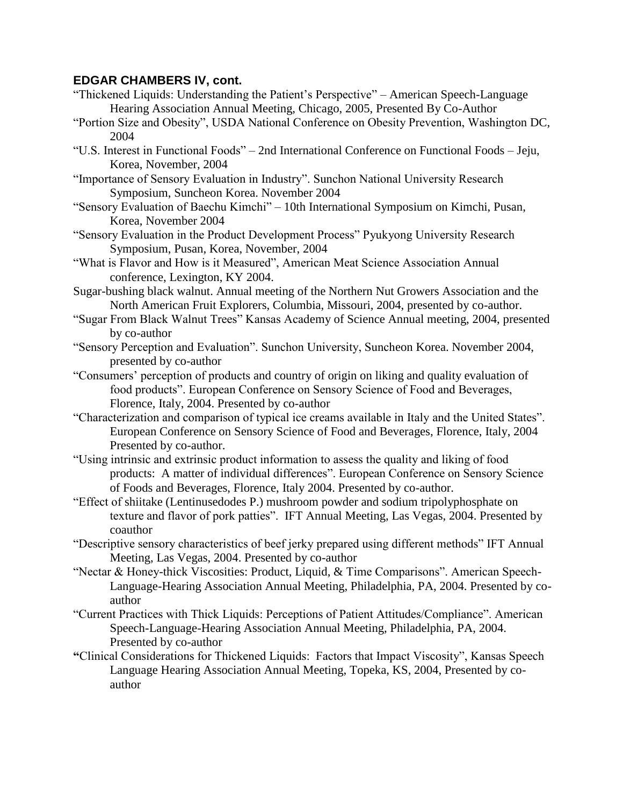- "Thickened Liquids: Understanding the Patient's Perspective" American Speech-Language Hearing Association Annual Meeting, Chicago, 2005, Presented By Co-Author
- "Portion Size and Obesity", USDA National Conference on Obesity Prevention, Washington DC, 2004
- "U.S. Interest in Functional Foods" 2nd International Conference on Functional Foods Jeju, Korea, November, 2004
- "Importance of Sensory Evaluation in Industry". Sunchon National University Research Symposium, Suncheon Korea. November 2004
- "Sensory Evaluation of Baechu Kimchi" 10th International Symposium on Kimchi, Pusan, Korea, November 2004
- "Sensory Evaluation in the Product Development Process" Pyukyong University Research Symposium, Pusan, Korea, November, 2004
- "What is Flavor and How is it Measured", American Meat Science Association Annual conference, Lexington, KY 2004.
- Sugar-bushing black walnut. Annual meeting of the Northern Nut Growers Association and the North American Fruit Explorers, Columbia, Missouri, 2004, presented by co-author.
- "Sugar From Black Walnut Trees" Kansas Academy of Science Annual meeting, 2004, presented by co-author
- "Sensory Perception and Evaluation". Sunchon University, Suncheon Korea. November 2004, presented by co-author
- "Consumers' perception of products and country of origin on liking and quality evaluation of food products". European Conference on Sensory Science of Food and Beverages, Florence, Italy, 2004. Presented by co-author
- "Characterization and comparison of typical ice creams available in Italy and the United States". European Conference on Sensory Science of Food and Beverages, Florence, Italy, 2004 Presented by co-author.
- "Using intrinsic and extrinsic product information to assess the quality and liking of food products: A matter of individual differences". European Conference on Sensory Science of Foods and Beverages, Florence, Italy 2004. Presented by co-author.
- "Effect of shiitake (Lentinusedodes P.) mushroom powder and sodium tripolyphosphate on texture and flavor of pork patties". IFT Annual Meeting, Las Vegas, 2004. Presented by coauthor
- "Descriptive sensory characteristics of beef jerky prepared using different methods" IFT Annual Meeting, Las Vegas, 2004. Presented by co-author
- "Nectar & Honey-thick Viscosities: Product, Liquid, & Time Comparisons". American Speech-Language-Hearing Association Annual Meeting, Philadelphia, PA, 2004. Presented by coauthor
- "Current Practices with Thick Liquids: Perceptions of Patient Attitudes/Compliance". American Speech-Language-Hearing Association Annual Meeting, Philadelphia, PA, 2004. Presented by co-author
- **"**Clinical Considerations for Thickened Liquids: Factors that Impact Viscosity", Kansas Speech Language Hearing Association Annual Meeting, Topeka, KS, 2004, Presented by coauthor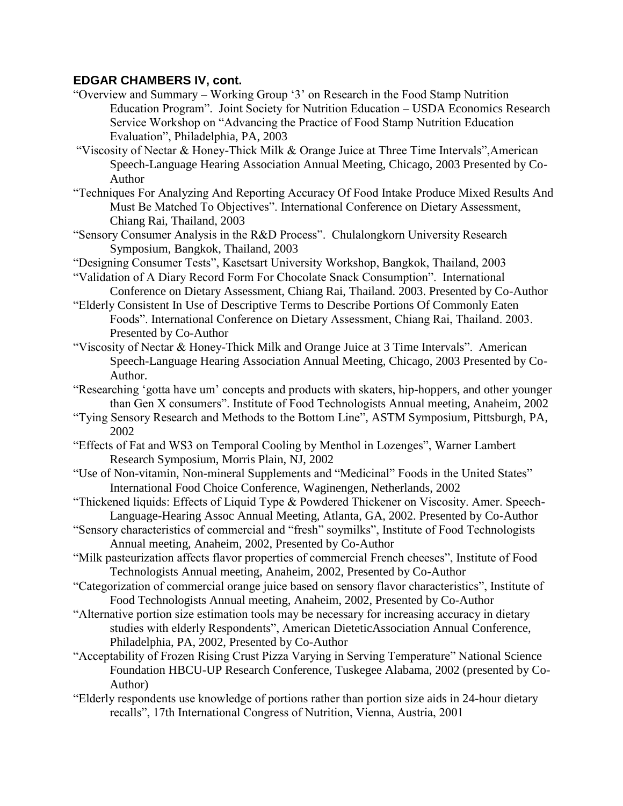- "Overview and Summary Working Group '3' on Research in the Food Stamp Nutrition Education Program". Joint Society for Nutrition Education – USDA Economics Research Service Workshop on "Advancing the Practice of Food Stamp Nutrition Education Evaluation", Philadelphia, PA, 2003
- "Viscosity of Nectar & Honey-Thick Milk & Orange Juice at Three Time Intervals",American Speech-Language Hearing Association Annual Meeting, Chicago, 2003 Presented by Co-Author
- "Techniques For Analyzing And Reporting Accuracy Of Food Intake Produce Mixed Results And Must Be Matched To Objectives". International Conference on Dietary Assessment, Chiang Rai, Thailand, 2003
- "Sensory Consumer Analysis in the R&D Process". Chulalongkorn University Research Symposium, Bangkok, Thailand, 2003
- "Designing Consumer Tests", Kasetsart University Workshop, Bangkok, Thailand, 2003 "Validation of A Diary Record Form For Chocolate Snack Consumption". International
- Conference on Dietary Assessment, Chiang Rai, Thailand. 2003. Presented by Co-Author "Elderly Consistent In Use of Descriptive Terms to Describe Portions Of Commonly Eaten
- Foods". International Conference on Dietary Assessment, Chiang Rai, Thailand. 2003. Presented by Co-Author
- "Viscosity of Nectar & Honey-Thick Milk and Orange Juice at 3 Time Intervals". American Speech-Language Hearing Association Annual Meeting, Chicago, 2003 Presented by Co-Author.
- "Researching 'gotta have um' concepts and products with skaters, hip-hoppers, and other younger than Gen X consumers". Institute of Food Technologists Annual meeting, Anaheim, 2002
- "Tying Sensory Research and Methods to the Bottom Line", ASTM Symposium, Pittsburgh, PA, 2002
- "Effects of Fat and WS3 on Temporal Cooling by Menthol in Lozenges", Warner Lambert Research Symposium, Morris Plain, NJ, 2002
- "Use of Non-vitamin, Non-mineral Supplements and "Medicinal" Foods in the United States" International Food Choice Conference, Waginengen, Netherlands, 2002
- "Thickened liquids: Effects of Liquid Type & Powdered Thickener on Viscosity. Amer. Speech-Language-Hearing Assoc Annual Meeting, Atlanta, GA, 2002. Presented by Co-Author
- "Sensory characteristics of commercial and "fresh" soymilks", Institute of Food Technologists Annual meeting, Anaheim, 2002, Presented by Co-Author
- "Milk pasteurization affects flavor properties of commercial French cheeses", Institute of Food Technologists Annual meeting, Anaheim, 2002, Presented by Co-Author
- "Categorization of commercial orange juice based on sensory flavor characteristics", Institute of Food Technologists Annual meeting, Anaheim, 2002, Presented by Co-Author
- "Alternative portion size estimation tools may be necessary for increasing accuracy in dietary studies with elderly Respondents", American DieteticAssociation Annual Conference, Philadelphia, PA, 2002, Presented by Co-Author
- "Acceptability of Frozen Rising Crust Pizza Varying in Serving Temperature" National Science Foundation HBCU-UP Research Conference, Tuskegee Alabama, 2002 (presented by Co-Author)
- "Elderly respondents use knowledge of portions rather than portion size aids in 24-hour dietary recalls", 17th International Congress of Nutrition, Vienna, Austria, 2001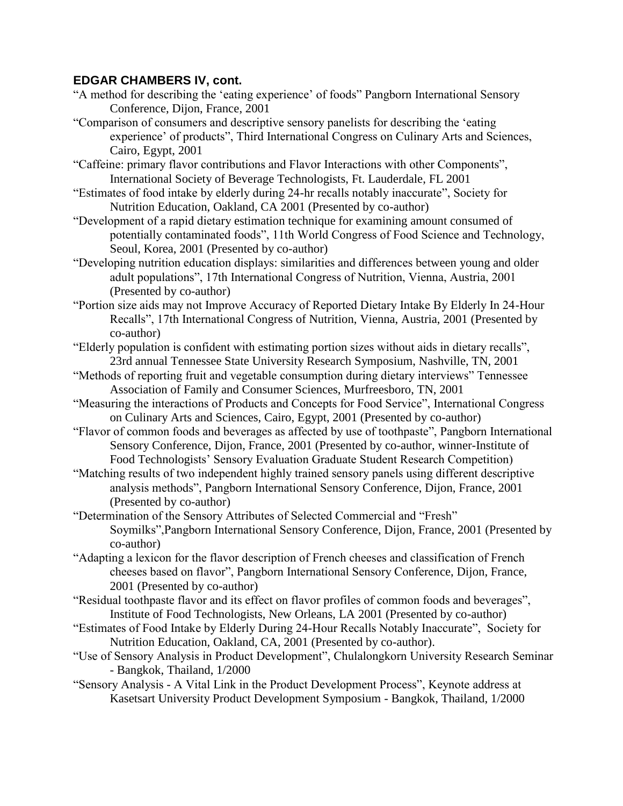- "A method for describing the 'eating experience' of foods" Pangborn International Sensory Conference, Dijon, France, 2001
- "Comparison of consumers and descriptive sensory panelists for describing the 'eating experience' of products", Third International Congress on Culinary Arts and Sciences, Cairo, Egypt, 2001
- "Caffeine: primary flavor contributions and Flavor Interactions with other Components", International Society of Beverage Technologists, Ft. Lauderdale, FL 2001
- "Estimates of food intake by elderly during 24-hr recalls notably inaccurate", Society for Nutrition Education, Oakland, CA 2001 (Presented by co-author)
- "Development of a rapid dietary estimation technique for examining amount consumed of potentially contaminated foods", 11th World Congress of Food Science and Technology, Seoul, Korea, 2001 (Presented by co-author)
- "Developing nutrition education displays: similarities and differences between young and older adult populations", 17th International Congress of Nutrition, Vienna, Austria, 2001 (Presented by co-author)
- "Portion size aids may not Improve Accuracy of Reported Dietary Intake By Elderly In 24-Hour Recalls", 17th International Congress of Nutrition, Vienna, Austria, 2001 (Presented by co-author)
- "Elderly population is confident with estimating portion sizes without aids in dietary recalls", 23rd annual Tennessee State University Research Symposium, Nashville, TN, 2001
- "Methods of reporting fruit and vegetable consumption during dietary interviews" Tennessee Association of Family and Consumer Sciences, Murfreesboro, TN, 2001
- "Measuring the interactions of Products and Concepts for Food Service", International Congress on Culinary Arts and Sciences, Cairo, Egypt, 2001 (Presented by co-author)
- "Flavor of common foods and beverages as affected by use of toothpaste", Pangborn International Sensory Conference, Dijon, France, 2001 (Presented by co-author, winner-Institute of Food Technologists' Sensory Evaluation Graduate Student Research Competition)
- "Matching results of two independent highly trained sensory panels using different descriptive analysis methods", Pangborn International Sensory Conference, Dijon, France, 2001 (Presented by co-author)
- "Determination of the Sensory Attributes of Selected Commercial and "Fresh" Soymilks",Pangborn International Sensory Conference, Dijon, France, 2001 (Presented by co-author)
- "Adapting a lexicon for the flavor description of French cheeses and classification of French cheeses based on flavor", Pangborn International Sensory Conference, Dijon, France, 2001 (Presented by co-author)
- "Residual toothpaste flavor and its effect on flavor profiles of common foods and beverages", Institute of Food Technologists, New Orleans, LA 2001 (Presented by co-author)
- "Estimates of Food Intake by Elderly During 24-Hour Recalls Notably Inaccurate", Society for Nutrition Education, Oakland, CA, 2001 (Presented by co-author).
- "Use of Sensory Analysis in Product Development", Chulalongkorn University Research Seminar - Bangkok, Thailand, 1/2000
- "Sensory Analysis A Vital Link in the Product Development Process", Keynote address at Kasetsart University Product Development Symposium - Bangkok, Thailand, 1/2000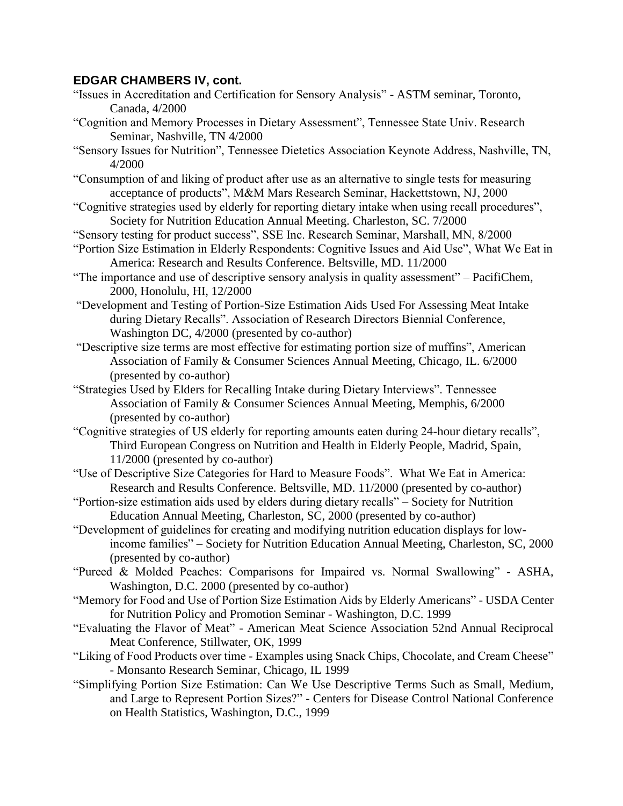- "Issues in Accreditation and Certification for Sensory Analysis" ASTM seminar, Toronto, Canada, 4/2000
- "Cognition and Memory Processes in Dietary Assessment", Tennessee State Univ. Research Seminar, Nashville, TN 4/2000
- "Sensory Issues for Nutrition", Tennessee Dietetics Association Keynote Address, Nashville, TN, 4/2000
- "Consumption of and liking of product after use as an alternative to single tests for measuring acceptance of products", M&M Mars Research Seminar, Hackettstown, NJ, 2000
- "Cognitive strategies used by elderly for reporting dietary intake when using recall procedures", Society for Nutrition Education Annual Meeting. Charleston, SC. 7/2000
- "Sensory testing for product success", SSE Inc. Research Seminar, Marshall, MN, 8/2000
- "Portion Size Estimation in Elderly Respondents: Cognitive Issues and Aid Use", What We Eat in America: Research and Results Conference. Beltsville, MD. 11/2000
- "The importance and use of descriptive sensory analysis in quality assessment" PacifiChem, 2000, Honolulu, HI, 12/2000
- "Development and Testing of Portion-Size Estimation Aids Used For Assessing Meat Intake during Dietary Recalls". Association of Research Directors Biennial Conference, Washington DC, 4/2000 (presented by co-author)
- "Descriptive size terms are most effective for estimating portion size of muffins", American Association of Family & Consumer Sciences Annual Meeting, Chicago, IL. 6/2000 (presented by co-author)
- "Strategies Used by Elders for Recalling Intake during Dietary Interviews". Tennessee Association of Family & Consumer Sciences Annual Meeting, Memphis, 6/2000 (presented by co-author)
- "Cognitive strategies of US elderly for reporting amounts eaten during 24-hour dietary recalls", Third European Congress on Nutrition and Health in Elderly People, Madrid, Spain, 11/2000 (presented by co-author)
- "Use of Descriptive Size Categories for Hard to Measure Foods". What We Eat in America: Research and Results Conference. Beltsville, MD. 11/2000 (presented by co-author)
- "Portion-size estimation aids used by elders during dietary recalls" Society for Nutrition Education Annual Meeting, Charleston, SC, 2000 (presented by co-author)
- "Development of guidelines for creating and modifying nutrition education displays for lowincome families" – Society for Nutrition Education Annual Meeting, Charleston, SC, 2000 (presented by co-author)
- "Pureed & Molded Peaches: Comparisons for Impaired vs. Normal Swallowing" ASHA, Washington, D.C. 2000 (presented by co-author)
- "Memory for Food and Use of Portion Size Estimation Aids by Elderly Americans" USDA Center for Nutrition Policy and Promotion Seminar - Washington, D.C. 1999
- "Evaluating the Flavor of Meat" American Meat Science Association 52nd Annual Reciprocal Meat Conference, Stillwater, OK, 1999
- "Liking of Food Products over time Examples using Snack Chips, Chocolate, and Cream Cheese" - Monsanto Research Seminar, Chicago, IL 1999
- "Simplifying Portion Size Estimation: Can We Use Descriptive Terms Such as Small, Medium, and Large to Represent Portion Sizes?" - Centers for Disease Control National Conference on Health Statistics, Washington, D.C., 1999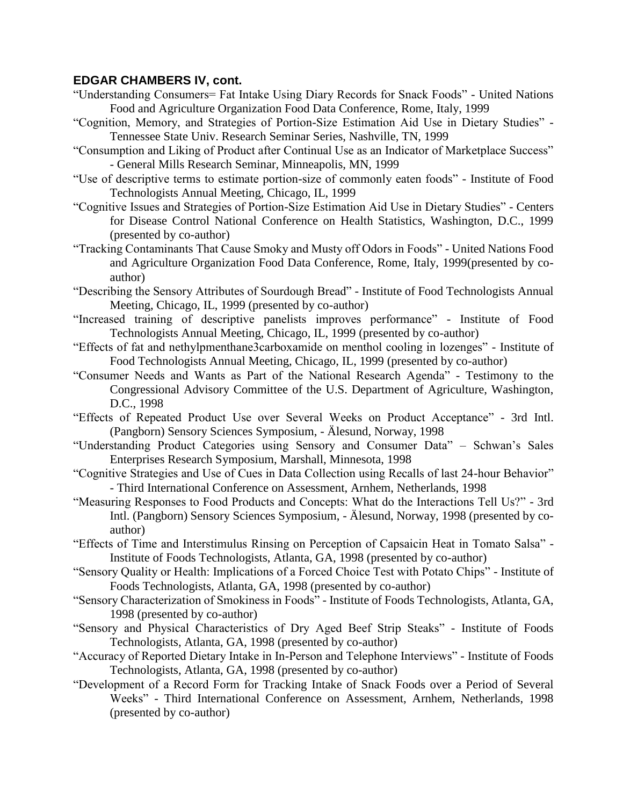- "Understanding Consumers= Fat Intake Using Diary Records for Snack Foods" United Nations Food and Agriculture Organization Food Data Conference, Rome, Italy, 1999
- "Cognition, Memory, and Strategies of Portion-Size Estimation Aid Use in Dietary Studies" Tennessee State Univ. Research Seminar Series, Nashville, TN, 1999
- "Consumption and Liking of Product after Continual Use as an Indicator of Marketplace Success" - General Mills Research Seminar, Minneapolis, MN, 1999
- "Use of descriptive terms to estimate portion-size of commonly eaten foods" Institute of Food Technologists Annual Meeting, Chicago, IL, 1999
- "Cognitive Issues and Strategies of Portion-Size Estimation Aid Use in Dietary Studies" Centers for Disease Control National Conference on Health Statistics, Washington, D.C., 1999 (presented by co-author)
- "Tracking Contaminants That Cause Smoky and Musty off Odors in Foods" United Nations Food and Agriculture Organization Food Data Conference, Rome, Italy, 1999(presented by coauthor)
- "Describing the Sensory Attributes of Sourdough Bread" Institute of Food Technologists Annual Meeting, Chicago, IL, 1999 (presented by co-author)
- "Increased training of descriptive panelists improves performance" Institute of Food Technologists Annual Meeting, Chicago, IL, 1999 (presented by co-author)
- "Effects of fat and nethylpmenthane3carboxamide on menthol cooling in lozenges" Institute of Food Technologists Annual Meeting, Chicago, IL, 1999 (presented by co-author)
- "Consumer Needs and Wants as Part of the National Research Agenda" Testimony to the Congressional Advisory Committee of the U.S. Department of Agriculture, Washington, D.C., 1998
- "Effects of Repeated Product Use over Several Weeks on Product Acceptance" 3rd Intl. (Pangborn) Sensory Sciences Symposium, - Älesund, Norway, 1998
- "Understanding Product Categories using Sensory and Consumer Data" Schwan's Sales Enterprises Research Symposium, Marshall, Minnesota, 1998
- "Cognitive Strategies and Use of Cues in Data Collection using Recalls of last 24-hour Behavior" - Third International Conference on Assessment, Arnhem, Netherlands, 1998
- "Measuring Responses to Food Products and Concepts: What do the Interactions Tell Us?" 3rd Intl. (Pangborn) Sensory Sciences Symposium, - Älesund, Norway, 1998 (presented by coauthor)
- "Effects of Time and Interstimulus Rinsing on Perception of Capsaicin Heat in Tomato Salsa" Institute of Foods Technologists, Atlanta, GA, 1998 (presented by co-author)
- "Sensory Quality or Health: Implications of a Forced Choice Test with Potato Chips" Institute of Foods Technologists, Atlanta, GA, 1998 (presented by co-author)
- "Sensory Characterization of Smokiness in Foods" Institute of Foods Technologists, Atlanta, GA, 1998 (presented by co-author)
- "Sensory and Physical Characteristics of Dry Aged Beef Strip Steaks" Institute of Foods Technologists, Atlanta, GA, 1998 (presented by co-author)
- "Accuracy of Reported Dietary Intake in In-Person and Telephone Interviews" Institute of Foods Technologists, Atlanta, GA, 1998 (presented by co-author)
- "Development of a Record Form for Tracking Intake of Snack Foods over a Period of Several Weeks" - Third International Conference on Assessment, Arnhem, Netherlands, 1998 (presented by co-author)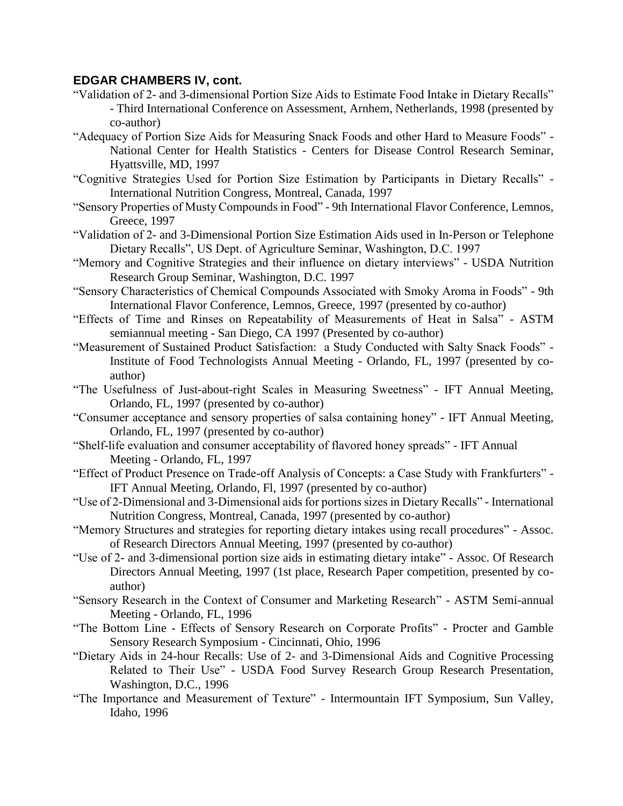- "Validation of 2- and 3-dimensional Portion Size Aids to Estimate Food Intake in Dietary Recalls" - Third International Conference on Assessment, Arnhem, Netherlands, 1998 (presented by co-author)
- "Adequacy of Portion Size Aids for Measuring Snack Foods and other Hard to Measure Foods" National Center for Health Statistics - Centers for Disease Control Research Seminar, Hyattsville, MD, 1997
- "Cognitive Strategies Used for Portion Size Estimation by Participants in Dietary Recalls" International Nutrition Congress, Montreal, Canada, 1997
- "Sensory Properties of Musty Compounds in Food" 9th International Flavor Conference, Lemnos, Greece, 1997
- "Validation of 2- and 3-Dimensional Portion Size Estimation Aids used in In-Person or Telephone Dietary Recalls", US Dept. of Agriculture Seminar, Washington, D.C. 1997
- "Memory and Cognitive Strategies and their influence on dietary interviews" USDA Nutrition Research Group Seminar, Washington, D.C. 1997
- "Sensory Characteristics of Chemical Compounds Associated with Smoky Aroma in Foods" 9th International Flavor Conference, Lemnos, Greece, 1997 (presented by co-author)
- "Effects of Time and Rinses on Repeatability of Measurements of Heat in Salsa" ASTM semiannual meeting - San Diego, CA 1997 (Presented by co-author)
- "Measurement of Sustained Product Satisfaction: a Study Conducted with Salty Snack Foods" Institute of Food Technologists Annual Meeting - Orlando, FL, 1997 (presented by coauthor)
- "The Usefulness of Just-about-right Scales in Measuring Sweetness" IFT Annual Meeting, Orlando, FL, 1997 (presented by co-author)
- "Consumer acceptance and sensory properties of salsa containing honey" IFT Annual Meeting, Orlando, FL, 1997 (presented by co-author)
- "Shelf-life evaluation and consumer acceptability of flavored honey spreads" IFT Annual Meeting - Orlando, FL, 1997
- "Effect of Product Presence on Trade-off Analysis of Concepts: a Case Study with Frankfurters" IFT Annual Meeting, Orlando, Fl, 1997 (presented by co-author)
- "Use of 2-Dimensional and 3-Dimensional aids for portions sizes in Dietary Recalls" International Nutrition Congress, Montreal, Canada, 1997 (presented by co-author)
- "Memory Structures and strategies for reporting dietary intakes using recall procedures" Assoc. of Research Directors Annual Meeting, 1997 (presented by co-author)
- "Use of 2- and 3-dimensional portion size aids in estimating dietary intake" Assoc. Of Research Directors Annual Meeting, 1997 (1st place, Research Paper competition, presented by coauthor)
- "Sensory Research in the Context of Consumer and Marketing Research" ASTM Semi-annual Meeting - Orlando, FL, 1996
- "The Bottom Line Effects of Sensory Research on Corporate Profits" Procter and Gamble Sensory Research Symposium - Cincinnati, Ohio, 1996
- "Dietary Aids in 24-hour Recalls: Use of 2- and 3-Dimensional Aids and Cognitive Processing Related to Their Use" - USDA Food Survey Research Group Research Presentation, Washington, D.C., 1996
- "The Importance and Measurement of Texture" Intermountain IFT Symposium, Sun Valley, Idaho, 1996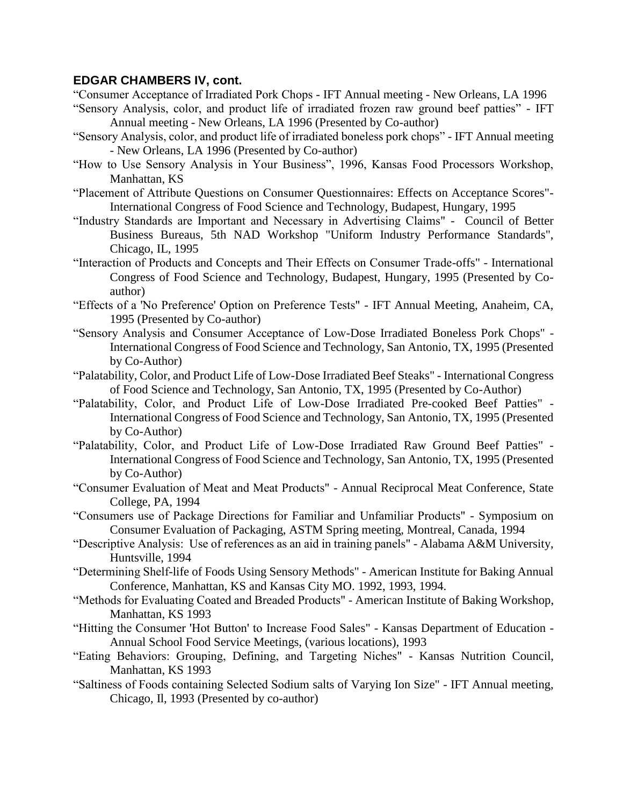"Consumer Acceptance of Irradiated Pork Chops - IFT Annual meeting - New Orleans, LA 1996 "Sensory Analysis, color, and product life of irradiated frozen raw ground beef patties" - IFT

Annual meeting - New Orleans, LA 1996 (Presented by Co-author)

- "Sensory Analysis, color, and product life of irradiated boneless pork chops" IFT Annual meeting - New Orleans, LA 1996 (Presented by Co-author)
- "How to Use Sensory Analysis in Your Business", 1996, Kansas Food Processors Workshop, Manhattan, KS
- "Placement of Attribute Questions on Consumer Questionnaires: Effects on Acceptance Scores"- International Congress of Food Science and Technology, Budapest, Hungary, 1995
- "Industry Standards are Important and Necessary in Advertising Claims" Council of Better Business Bureaus, 5th NAD Workshop "Uniform Industry Performance Standards", Chicago, IL, 1995
- "Interaction of Products and Concepts and Their Effects on Consumer Trade-offs" International Congress of Food Science and Technology, Budapest, Hungary, 1995 (Presented by Coauthor)
- "Effects of a 'No Preference' Option on Preference Tests" IFT Annual Meeting, Anaheim, CA, 1995 (Presented by Co-author)
- "Sensory Analysis and Consumer Acceptance of Low-Dose Irradiated Boneless Pork Chops" International Congress of Food Science and Technology, San Antonio, TX, 1995 (Presented by Co-Author)
- "Palatability, Color, and Product Life of Low-Dose Irradiated Beef Steaks" International Congress of Food Science and Technology, San Antonio, TX, 1995 (Presented by Co-Author)
- "Palatability, Color, and Product Life of Low-Dose Irradiated Pre-cooked Beef Patties" International Congress of Food Science and Technology, San Antonio, TX, 1995 (Presented by Co-Author)
- "Palatability, Color, and Product Life of Low-Dose Irradiated Raw Ground Beef Patties" International Congress of Food Science and Technology, San Antonio, TX, 1995 (Presented by Co-Author)
- "Consumer Evaluation of Meat and Meat Products" Annual Reciprocal Meat Conference, State College, PA, 1994
- "Consumers use of Package Directions for Familiar and Unfamiliar Products" Symposium on Consumer Evaluation of Packaging, ASTM Spring meeting, Montreal, Canada, 1994
- "Descriptive Analysis: Use of references as an aid in training panels" Alabama A&M University, Huntsville, 1994
- "Determining Shelf-life of Foods Using Sensory Methods" American Institute for Baking Annual Conference, Manhattan, KS and Kansas City MO. 1992, 1993, 1994.
- "Methods for Evaluating Coated and Breaded Products" American Institute of Baking Workshop, Manhattan, KS 1993
- "Hitting the Consumer 'Hot Button' to Increase Food Sales" Kansas Department of Education Annual School Food Service Meetings, (various locations), 1993
- "Eating Behaviors: Grouping, Defining, and Targeting Niches" Kansas Nutrition Council, Manhattan, KS 1993
- "Saltiness of Foods containing Selected Sodium salts of Varying Ion Size" IFT Annual meeting, Chicago, Il, 1993 (Presented by co-author)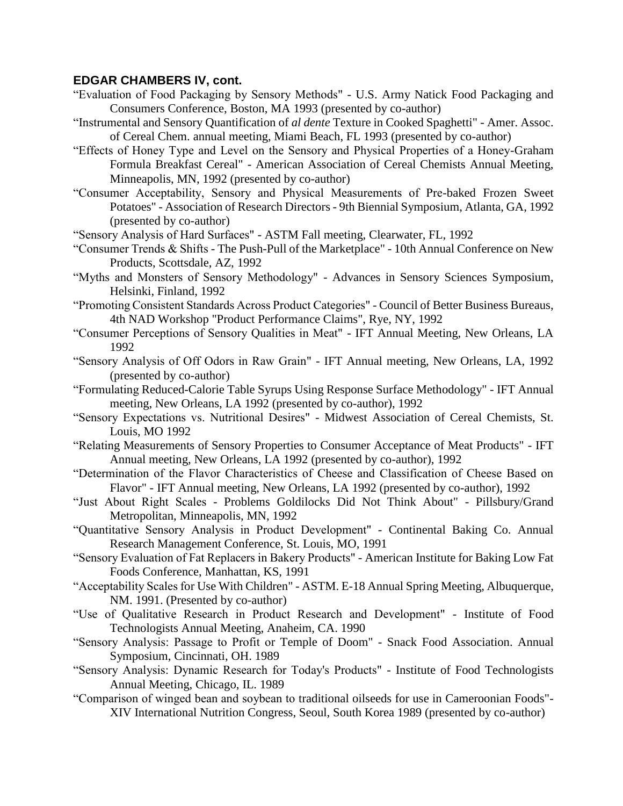- "Evaluation of Food Packaging by Sensory Methods" U.S. Army Natick Food Packaging and Consumers Conference, Boston, MA 1993 (presented by co-author)
- "Instrumental and Sensory Quantification of *al dente* Texture in Cooked Spaghetti" Amer. Assoc. of Cereal Chem. annual meeting, Miami Beach, FL 1993 (presented by co-author)
- "Effects of Honey Type and Level on the Sensory and Physical Properties of a Honey-Graham Formula Breakfast Cereal" - American Association of Cereal Chemists Annual Meeting, Minneapolis, MN, 1992 (presented by co-author)
- "Consumer Acceptability, Sensory and Physical Measurements of Pre-baked Frozen Sweet Potatoes" - Association of Research Directors - 9th Biennial Symposium, Atlanta, GA, 1992 (presented by co-author)
- "Sensory Analysis of Hard Surfaces" ASTM Fall meeting, Clearwater, FL, 1992
- "Consumer Trends & Shifts The Push-Pull of the Marketplace" 10th Annual Conference on New Products, Scottsdale, AZ, 1992
- "Myths and Monsters of Sensory Methodology" Advances in Sensory Sciences Symposium, Helsinki, Finland, 1992
- "Promoting Consistent Standards Across Product Categories" Council of Better Business Bureaus, 4th NAD Workshop "Product Performance Claims", Rye, NY, 1992
- "Consumer Perceptions of Sensory Qualities in Meat" IFT Annual Meeting, New Orleans, LA 1992
- "Sensory Analysis of Off Odors in Raw Grain" IFT Annual meeting, New Orleans, LA, 1992 (presented by co-author)
- "Formulating Reduced-Calorie Table Syrups Using Response Surface Methodology" IFT Annual meeting, New Orleans, LA 1992 (presented by co-author), 1992
- "Sensory Expectations vs. Nutritional Desires" Midwest Association of Cereal Chemists, St. Louis, MO 1992
- "Relating Measurements of Sensory Properties to Consumer Acceptance of Meat Products" IFT Annual meeting, New Orleans, LA 1992 (presented by co-author), 1992
- "Determination of the Flavor Characteristics of Cheese and Classification of Cheese Based on Flavor" - IFT Annual meeting, New Orleans, LA 1992 (presented by co-author), 1992
- "Just About Right Scales Problems Goldilocks Did Not Think About" Pillsbury/Grand Metropolitan, Minneapolis, MN, 1992
- "Quantitative Sensory Analysis in Product Development" Continental Baking Co. Annual Research Management Conference, St. Louis, MO, 1991
- "Sensory Evaluation of Fat Replacers in Bakery Products" American Institute for Baking Low Fat Foods Conference, Manhattan, KS, 1991
- "Acceptability Scales for Use With Children" ASTM. E-18 Annual Spring Meeting, Albuquerque, NM. 1991. (Presented by co-author)
- "Use of Qualitative Research in Product Research and Development" Institute of Food Technologists Annual Meeting, Anaheim, CA. 1990
- "Sensory Analysis: Passage to Profit or Temple of Doom" Snack Food Association. Annual Symposium, Cincinnati, OH. 1989
- "Sensory Analysis: Dynamic Research for Today's Products" Institute of Food Technologists Annual Meeting, Chicago, IL. 1989
- "Comparison of winged bean and soybean to traditional oilseeds for use in Cameroonian Foods"- XIV International Nutrition Congress, Seoul, South Korea 1989 (presented by co-author)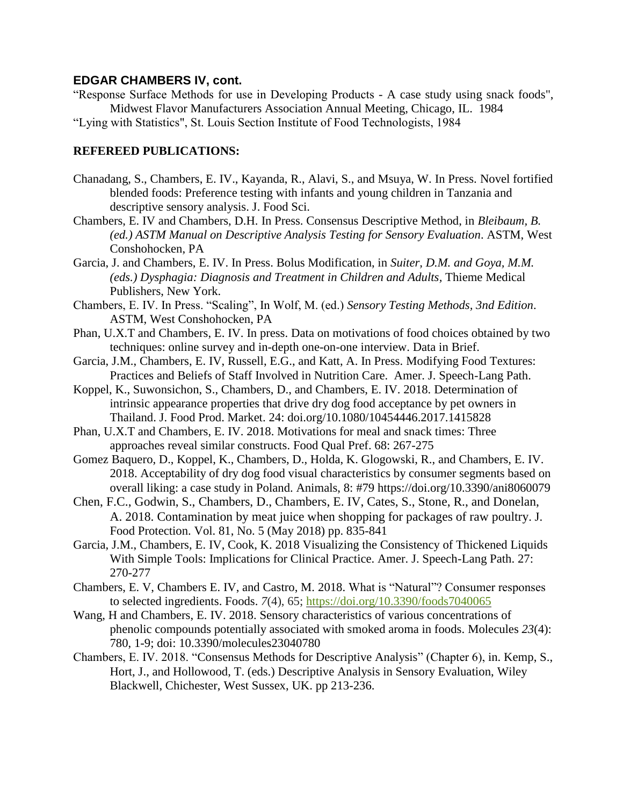"Response Surface Methods for use in Developing Products - A case study using snack foods", Midwest Flavor Manufacturers Association Annual Meeting, Chicago, IL. 1984

"Lying with Statistics", St. Louis Section Institute of Food Technologists, 1984

### **REFEREED PUBLICATIONS:**

- Chanadang, S., Chambers, E. IV., Kayanda, R., Alavi, S., and Msuya, W. In Press. Novel fortified blended foods: Preference testing with infants and young children in Tanzania and descriptive sensory analysis. J. Food Sci.
- Chambers, E. IV and Chambers, D.H. In Press. Consensus Descriptive Method, in *Bleibaum, B. (ed.) ASTM Manual on Descriptive Analysis Testing for Sensory Evaluation*. ASTM, West Conshohocken, PA
- Garcia, J. and Chambers, E. IV. In Press. Bolus Modification, in *Suiter, D.M. and Goya, M.M. (eds.) Dysphagia: Diagnosis and Treatment in Children and Adults, Thieme Medical* Publishers, New York.
- Chambers, E. IV. In Press. "Scaling", In Wolf, M. (ed.) *Sensory Testing Methods, 3nd Edition*. ASTM, West Conshohocken, PA
- Phan, U.X.T and Chambers, E. IV. In press. Data on motivations of food choices obtained by two techniques: online survey and in-depth one-on-one interview. Data in Brief.
- Garcia, J.M., Chambers, E. IV, Russell, E.G., and Katt, A. In Press. Modifying Food Textures: Practices and Beliefs of Staff Involved in Nutrition Care. Amer. J. Speech-Lang Path.
- Koppel, K., Suwonsichon, S., Chambers, D., and Chambers, E. IV. 2018. Determination of intrinsic appearance properties that drive dry dog food acceptance by pet owners in Thailand. J. Food Prod. Market. 24: doi.org/10.1080/10454446.2017.1415828
- Phan, U.X.T and Chambers, E. IV. 2018. Motivations for meal and snack times: Three approaches reveal similar constructs. Food Qual Pref. 68: 267-275
- Gomez Baquero, D., Koppel, K., Chambers, D., Holda, K. Glogowski, R., and Chambers, E. IV. 2018. Acceptability of dry dog food visual characteristics by consumer segments based on overall liking: a case study in Poland. Animals, 8: #79 https://doi.org/10.3390/ani8060079
- Chen, F.C., Godwin, S., Chambers, D., Chambers, E. IV, Cates, S., Stone, R., and Donelan, A. 2018. Contamination by meat juice when shopping for packages of raw poultry. J. Food Protection. Vol. 81, No. 5 (May 2018) pp. 835-841
- Garcia, J.M., Chambers, E. IV, Cook, K. 2018 Visualizing the Consistency of Thickened Liquids With Simple Tools: Implications for Clinical Practice. Amer. J. Speech-Lang Path. 27: 270-277
- Chambers, E. V, Chambers E. IV, and Castro, M. 2018. What is "Natural"? Consumer responses to selected ingredients. Foods. *7*(4), 65; <https://doi.org/10.3390/foods7040065>
- Wang, H and Chambers, E. IV. 2018. Sensory characteristics of various concentrations of phenolic compounds potentially associated with smoked aroma in foods. Molecules *23*(4): 780, 1-9; doi: 10.3390/molecules23040780
- Chambers, E. IV. 2018. "Consensus Methods for Descriptive Analysis" (Chapter 6), in. Kemp, S., Hort, J., and Hollowood, T. (eds.) Descriptive Analysis in Sensory Evaluation, Wiley Blackwell, Chichester, West Sussex, UK. pp 213-236.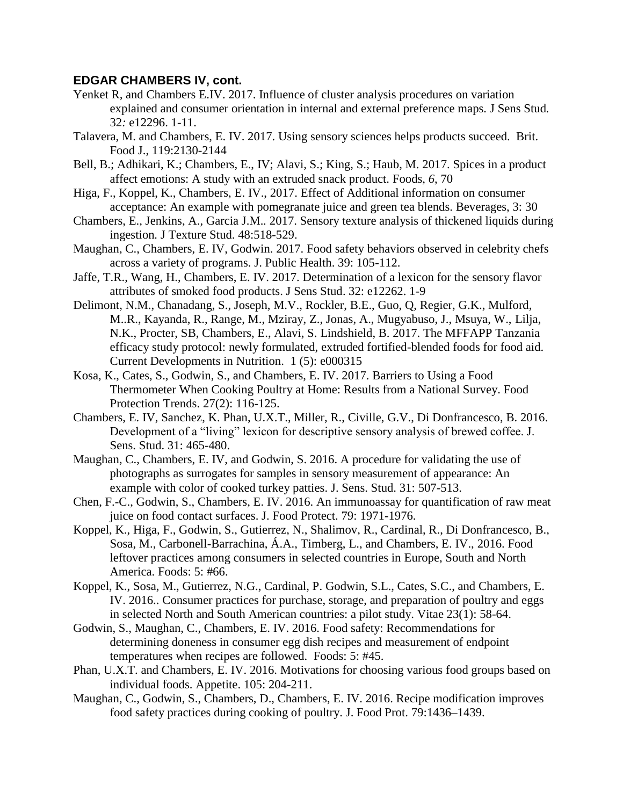- Yenket R*,* and Chambers E.IV. 2017. Influence of cluster analysis procedures on variation explained and consumer orientation in internal and external preference maps*.* J Sens Stud*.*  32*:* e12296. 1-11.
- Talavera, M. and Chambers, E. IV. 2017. Using sensory sciences helps products succeed. Brit. Food J., 119:2130-2144
- Bell, B.; Adhikari, K.; Chambers, E., IV; Alavi, S.; King, S.; Haub, M. 2017. Spices in a product affect emotions: A study with an extruded snack product. Foods, *6*, 70
- Higa, F., Koppel, K., Chambers, E. IV., 2017. Effect of Additional information on consumer acceptance: An example with pomegranate juice and green tea blends. Beverages, 3: 30
- Chambers, E.*,* Jenkins, A.*,* Garcia J.M.*.* 2017. Sensory texture analysis of thickened liquids during ingestion*.* J Texture Stud. 48:518-529.
- Maughan, C., Chambers, E. IV, Godwin. 2017. Food safety behaviors observed in celebrity chefs across a variety of programs. J. Public Health. 39: 105-112.
- Jaffe, T.R., Wang, H., Chambers, E. IV. 2017. Determination of a lexicon for the sensory flavor attributes of smoked food products. J Sens Stud. 32: e12262. 1-9
- Delimont, N.M., Chanadang, S., Joseph, M.V., Rockler, B.E., Guo, Q, Regier, G.K., Mulford, M..R., Kayanda, R., Range, M., Mziray, Z., Jonas, A., Mugyabuso, J., Msuya, W., Lilja, N.K., Procter, SB, Chambers, E., Alavi, S. Lindshield, B. 2017. The MFFAPP Tanzania efficacy study protocol: newly formulated, extruded fortified-blended foods for food aid. Current Developments in Nutrition. 1 (5): e000315
- Kosa, K., Cates, S., Godwin, S., and Chambers, E. IV. 2017. Barriers to Using a Food Thermometer When Cooking Poultry at Home: Results from a National Survey. Food Protection Trends. 27(2): 116-125.
- Chambers, E. IV, Sanchez, K. Phan, U.X.T., Miller, R., Civille, G.V., Di Donfrancesco, B. 2016. Development of a "living" lexicon for descriptive sensory analysis of brewed coffee. J. Sens. Stud. 31: 465-480.
- Maughan, C., Chambers, E. IV, and Godwin, S. 2016. A procedure for validating the use of photographs as surrogates for samples in sensory measurement of appearance: An example with color of cooked turkey patties. J. Sens. Stud. 31: 507-513.
- Chen, F.-C., Godwin, S., Chambers, E. IV. 2016. An immunoassay for quantification of raw meat juice on food contact surfaces. J. Food Protect. 79: 1971-1976.
- Koppel, K., Higa, F., Godwin, S., Gutierrez, N., Shalimov, R., Cardinal, R., Di Donfrancesco, B., Sosa, M., Carbonell-Barrachina, Á.A., Timberg, L., and Chambers, E. IV., 2016. Food leftover practices among consumers in selected countries in Europe, South and North America. Foods: 5: #66.
- Koppel, K., Sosa, M., Gutierrez, N.G., Cardinal, P. Godwin, S.L., Cates, S.C., and Chambers, E. IV. 2016.. Consumer practices for purchase, storage, and preparation of poultry and eggs in selected North and South American countries: a pilot study. Vitae 23(1): 58-64.
- Godwin, S., Maughan, C., Chambers, E. IV. 2016. Food safety: Recommendations for determining doneness in consumer egg dish recipes and measurement of endpoint temperatures when recipes are followed. Foods: 5: #45.
- Phan, U.X.T. and Chambers, E. IV. 2016. Motivations for choosing various food groups based on individual foods. Appetite. 105: 204-211.
- Maughan, C., Godwin, S., Chambers, D., Chambers, E. IV. 2016. Recipe modification improves food safety practices during cooking of poultry. J. Food Prot. 79:1436–1439.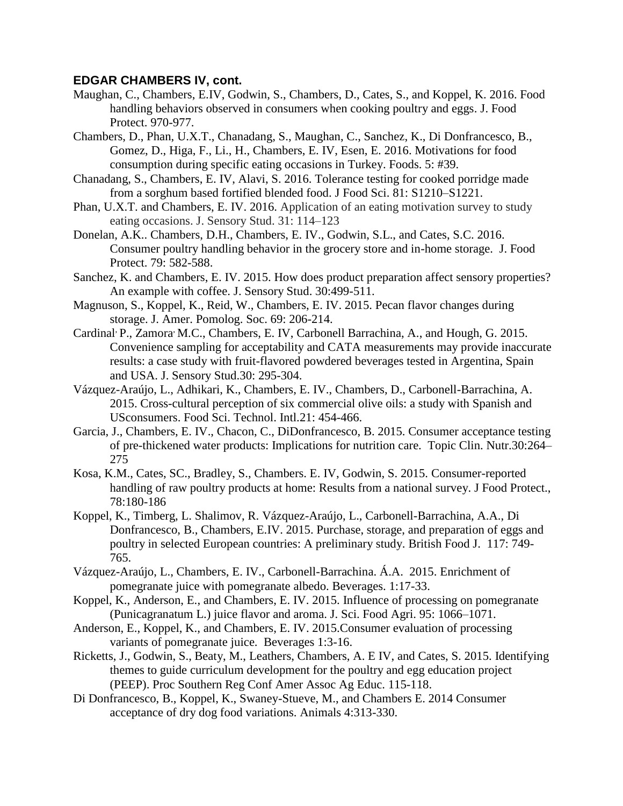- Maughan, C., Chambers, E.IV, Godwin, S., Chambers, D., Cates, S., and Koppel, K. 2016. Food handling behaviors observed in consumers when cooking poultry and eggs. J. Food Protect. 970-977.
- Chambers, D., Phan, U.X.T., Chanadang, S., Maughan, C., Sanchez, K., Di Donfrancesco, B., Gomez, D., Higa, F., Li., H., Chambers, E. IV, Esen, E. 2016. Motivations for food consumption during specific eating occasions in Turkey. Foods. 5: #39.
- Chanadang, S., Chambers, E. IV, Alavi, S. 2016. Tolerance testing for cooked porridge made from a sorghum based fortified blended food. J Food Sci. 81: S1210–S1221.
- Phan, U.X.T. and Chambers, E. IV. 2016. Application of an eating motivation survey to study eating occasions. J. Sensory Stud. 31: 114–123
- Donelan, A.K.. Chambers, D.H., Chambers, E. IV., Godwin, S.L., and Cates, S.C. 2016. Consumer poultry handling behavior in the grocery store and in-home storage. J. Food Protect. 79: 582-588.
- Sanchez, K. and Chambers, E. IV. 2015. How does product preparation affect sensory properties? An example with coffee. J. Sensory Stud. 30:499-511.
- Magnuson, S., Koppel, K., Reid, W., Chambers, E. IV. 2015. Pecan flavor changes during storage. J. Amer. Pomolog. Soc. 69: 206-214.
- Cardinal<sup>, P</sup>., Zamora<sup>,</sup> M.C., Chambers, E. IV, Carbonell Barrachina, A., and Hough, G. 2015. Convenience sampling for acceptability and CATA measurements may provide inaccurate results: a case study with fruit-flavored powdered beverages tested in Argentina, Spain and USA. J. Sensory Stud.30: 295-304.
- Vázquez-Araújo, L., Adhikari, K., Chambers, E. IV., Chambers, D., Carbonell-Barrachina, A. 2015. Cross-cultural perception of six commercial olive oils: a study with Spanish and USconsumers. Food Sci. Technol. Intl.21: 454-466.
- Garcia, J., Chambers, E. IV., Chacon, C., DiDonfrancesco, B. 2015. Consumer acceptance testing of pre-thickened water products: Implications for nutrition care. Topic Clin. Nutr.30:264– 275
- Kosa, K.M., Cates, SC., Bradley, S., Chambers. E. IV, Godwin, S. 2015. Consumer-reported handling of raw poultry products at home: Results from a national survey. J Food Protect., 78:180-186
- Koppel, K., Timberg, L. Shalimov, R. Vázquez-Araújo, L., Carbonell-Barrachina, A.A., Di Donfrancesco, B., Chambers, E.IV. 2015. Purchase, storage, and preparation of eggs and poultry in selected European countries: A preliminary study. British Food J. 117: 749- 765.
- Vázquez-Araújo, L., Chambers, E. IV., Carbonell-Barrachina. Á.A. 2015. Enrichment of pomegranate juice with pomegranate albedo. Beverages. 1:17-33.
- Koppel, K., Anderson, E., and Chambers, E. IV. 2015. Influence of processing on pomegranate (Punicagranatum L.) juice flavor and aroma. J. Sci. Food Agri. 95: 1066–1071.
- Anderson, E., Koppel, K., and Chambers, E. IV. 2015.Consumer evaluation of processing variants of pomegranate juice. Beverages 1:3-16.
- Ricketts, J., Godwin, S., Beaty, M., Leathers, Chambers, A. E IV, and Cates, S. 2015. Identifying themes to guide curriculum development for the poultry and egg education project (PEEP). Proc Southern Reg Conf Amer Assoc Ag Educ. 115-118.
- Di Donfrancesco, B., Koppel, K., Swaney-Stueve, M., and Chambers E. 2014 Consumer acceptance of dry dog food variations. Animals 4:313-330.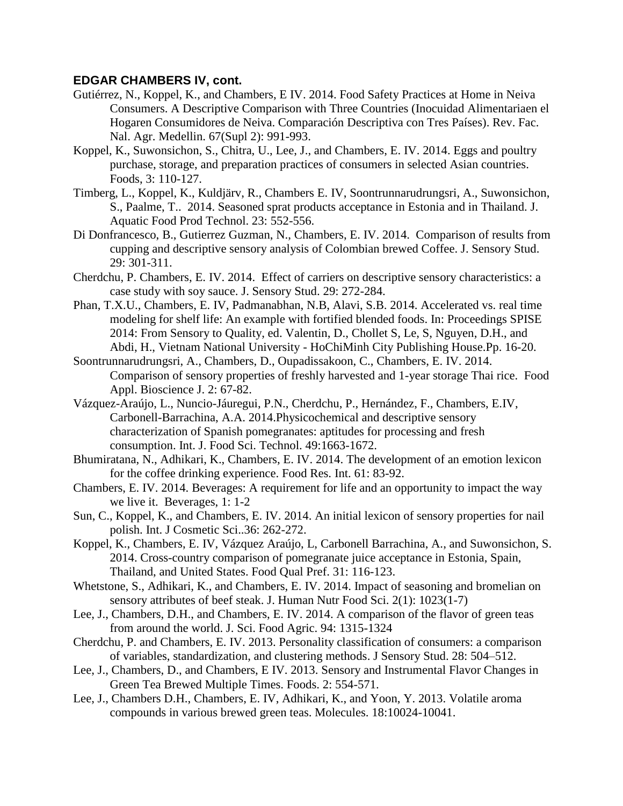- Gutiérrez, N., Koppel, K., and Chambers, E IV. 2014. Food Safety Practices at Home in Neiva Consumers. A Descriptive Comparison with Three Countries (Inocuidad Alimentariaen el Hogaren Consumidores de Neiva. Comparación Descriptiva con Tres Países). Rev. Fac. Nal. Agr. Medellin. 67(Supl 2): 991-993.
- Koppel, K., Suwonsichon, S., Chitra, U., Lee, J., and Chambers, E. IV. 2014. Eggs and poultry purchase, storage, and preparation practices of consumers in selected Asian countries. Foods, 3: 110-127.
- Timberg, L., Koppel, K., Kuldjärv, R., Chambers E. IV, Soontrunnarudrungsri, A., Suwonsichon, S., Paalme, T.. 2014. Seasoned sprat products acceptance in Estonia and in Thailand. J. Aquatic Food Prod Technol. 23: 552-556.
- Di Donfrancesco, B., Gutierrez Guzman, N., Chambers, E. IV. 2014. Comparison of results from cupping and descriptive sensory analysis of Colombian brewed Coffee. J. Sensory Stud. 29: 301-311.
- Cherdchu, P. Chambers, E. IV. 2014. Effect of carriers on descriptive sensory characteristics: a case study with soy sauce. J. Sensory Stud. 29: 272-284.
- Phan, T.X.U., Chambers, E. IV, Padmanabhan, N.B, Alavi, S.B. 2014. Accelerated vs. real time modeling for shelf life: An example with fortified blended foods. In: Proceedings SPISE 2014: From Sensory to Quality, ed. Valentin, D., Chollet S, Le, S, Nguyen, D.H., and Abdi, H., Vietnam National University - HoChiMinh City Publishing House.Pp. 16-20.
- Soontrunnarudrungsri, A., Chambers, D., Oupadissakoon, C., Chambers, E. IV. 2014. Comparison of sensory properties of freshly harvested and 1-year storage Thai rice. Food Appl. Bioscience J. 2: 67-82.
- Vázquez-Araújo, L., Nuncio-Jáuregui, P.N., Cherdchu, P., Hernández, F., Chambers, E.IV, Carbonell-Barrachina, A.A. 2014.Physicochemical and descriptive sensory characterization of Spanish pomegranates: aptitudes for processing and fresh consumption. Int. J. Food Sci. Technol. 49:1663-1672.
- Bhumiratana, N., Adhikari, K., Chambers, E. IV. 2014. The development of an emotion lexicon for the coffee drinking experience. Food Res. Int. 61: 83-92.
- Chambers, E. IV. 2014. Beverages: A requirement for life and an opportunity to impact the way we live it. Beverages, 1: 1-2
- Sun, C., Koppel, K., and Chambers, E. IV. 2014. An initial lexicon of sensory properties for nail polish. Int. J Cosmetic Sci..36: 262-272.
- Koppel, K., Chambers, E. IV, Vázquez Araújo, L, Carbonell Barrachina, A., and Suwonsichon, S. 2014. Cross-country comparison of pomegranate juice acceptance in Estonia, Spain, Thailand, and United States. Food Qual Pref. 31: 116-123.
- Whetstone, S., Adhikari, K., and Chambers, E. IV. 2014. Impact of seasoning and bromelian on sensory attributes of beef steak. J. Human Nutr Food Sci. 2(1): 1023(1-7)
- Lee, J., Chambers, D.H., and Chambers, E. IV. 2014. A comparison of the flavor of green teas from around the world. J. Sci. Food Agric. 94: 1315-1324
- Cherdchu, P. and Chambers, E. IV. 2013. Personality classification of consumers: a comparison of variables, standardization, and clustering methods. J Sensory Stud. 28: 504–512.
- Lee, J., Chambers, D., and Chambers, E IV. 2013. Sensory and Instrumental Flavor Changes in Green Tea Brewed Multiple Times. Foods. 2: 554-571.
- Lee, J., Chambers D.H., Chambers, E. IV, Adhikari, K., and Yoon, Y. 2013. Volatile aroma compounds in various brewed green teas. Molecules. 18:10024-10041.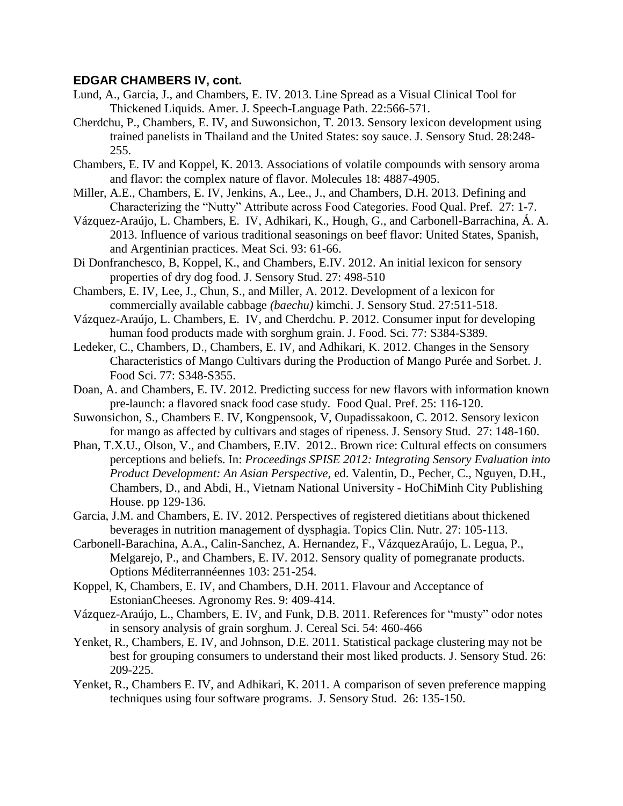- Lund, A., Garcia, J., and Chambers, E. IV. 2013. Line Spread as a Visual Clinical Tool for Thickened Liquids. Amer. J. Speech-Language Path. 22:566-571.
- Cherdchu, P., Chambers, E. IV, and Suwonsichon, T. 2013. Sensory lexicon development using trained panelists in Thailand and the United States: soy sauce. J. Sensory Stud. 28:248- 255.
- Chambers, E. IV and Koppel, K. 2013. Associations of volatile compounds with sensory aroma and flavor: the complex nature of flavor. Molecules 18: 4887-4905.
- Miller, A.E., Chambers, E. IV, Jenkins, A., Lee., J., and Chambers, D.H. 2013. Defining and Characterizing the "Nutty" Attribute across Food Categories. Food Qual. Pref. 27: 1-7.
- Vázquez-Araújo, L. Chambers, E. IV, Adhikari, K., Hough, G., and Carbonell-Barrachina, Á. A. 2013. Influence of various traditional seasonings on beef flavor: United States, Spanish, and Argentinian practices. Meat Sci. 93: 61-66.
- Di Donfranchesco, B, Koppel, K., and Chambers, E.IV. 2012. An initial lexicon for sensory properties of dry dog food. J. Sensory Stud. 27: 498-510
- Chambers, E. IV, Lee, J., Chun, S., and Miller, A. 2012. Development of a lexicon for commercially available cabbage *(baechu)* kimchi. J. Sensory Stud. 27:511-518.
- Vázquez-Araújo, L. Chambers, E. IV, and Cherdchu. P. 2012. Consumer input for developing human food products made with sorghum grain. J. Food. Sci. 77: S384-S389.
- Ledeker, C., Chambers, D., Chambers, E. IV, and Adhikari, K. 2012. Changes in the Sensory Characteristics of Mango Cultivars during the Production of Mango Purée and Sorbet. J. Food Sci. 77: S348-S355.
- Doan, A. and Chambers, E. IV. 2012. Predicting success for new flavors with information known pre-launch: a flavored snack food case study. Food Qual. Pref. 25: 116-120.
- Suwonsichon, S., Chambers E. IV, Kongpensook, V, Oupadissakoon, C. 2012. Sensory lexicon for mango as affected by cultivars and stages of ripeness. J. Sensory Stud. 27: 148-160.
- Phan, T.X.U., Olson, V., and Chambers, E.IV. 2012.. Brown rice: Cultural effects on consumers perceptions and beliefs. In: *Proceedings SPISE 2012: Integrating Sensory Evaluation into Product Development: An Asian Perspective,* ed. Valentin, D., Pecher, C., Nguyen, D.H., Chambers, D., and Abdi, H., Vietnam National University - HoChiMinh City Publishing House. pp 129-136.
- Garcia, J.M. and Chambers, E. IV. 2012. Perspectives of registered dietitians about thickened beverages in nutrition management of dysphagia. Topics Clin. Nutr. 27: 105-113.
- Carbonell-Barachina, A.A., Calin-Sanchez, A. Hernandez, F., VázquezAraújo, L. Legua, P., Melgarejo, P., and Chambers, E. IV. 2012. Sensory quality of pomegranate products. Options Méditerrannéennes 103: 251-254.
- Koppel, K, Chambers, E. IV, and Chambers, D.H. 2011. Flavour and Acceptance of EstonianCheeses. Agronomy Res. 9: 409-414.
- Vázquez-Araújo, L., Chambers, E. IV, and Funk, D.B. 2011. References for "musty" odor notes in sensory analysis of grain sorghum. J. Cereal Sci. 54: 460-466
- Yenket, R., Chambers, E. IV, and Johnson, D.E. 2011. Statistical package clustering may not be best for grouping consumers to understand their most liked products. J. Sensory Stud. 26: 209-225.
- Yenket, R., Chambers E. IV, and Adhikari, K. 2011. A comparison of seven preference mapping techniques using four software programs. J. Sensory Stud. 26: 135-150.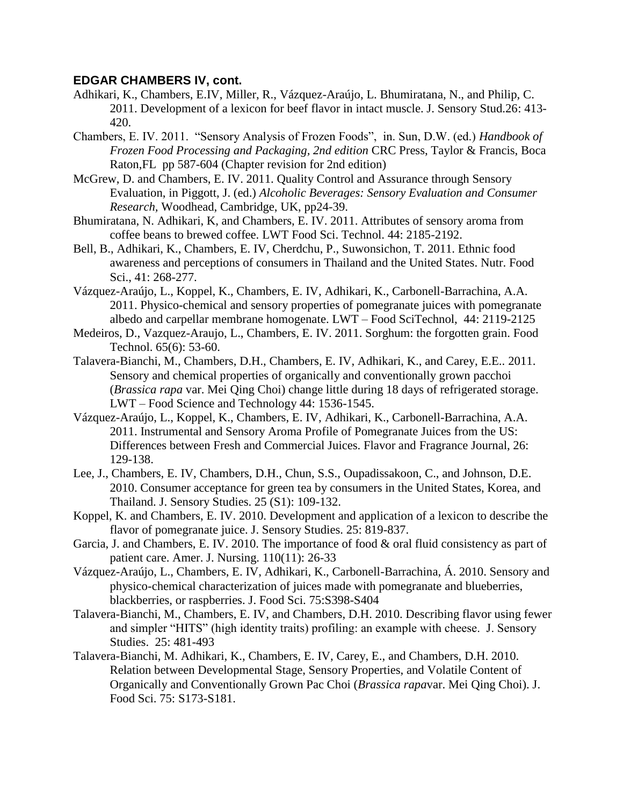- Adhikari, K., Chambers, E.IV, Miller, R., Vázquez-Araújo, L. Bhumiratana, N., and Philip, C. 2011. Development of a lexicon for beef flavor in intact muscle. J. Sensory Stud.26: 413- 420.
- Chambers, E. IV. 2011. "Sensory Analysis of Frozen Foods", in. Sun, D.W. (ed.) *Handbook of Frozen Food Processing and Packaging, 2nd edition* CRC Press, Taylor & Francis, Boca Raton,FL pp 587-604 (Chapter revision for 2nd edition)
- McGrew, D. and Chambers, E. IV. 2011. Quality Control and Assurance through Sensory Evaluation, in Piggott, J. (ed.) *Alcoholic Beverages: Sensory Evaluation and Consumer Research,* Woodhead, Cambridge, UK, pp24-39.
- Bhumiratana, N. Adhikari, K, and Chambers, E. IV. 2011. Attributes of sensory aroma from coffee beans to brewed coffee. LWT Food Sci. Technol. 44: 2185-2192.
- Bell, B., Adhikari, K., Chambers, E. IV, Cherdchu, P., Suwonsichon, T. 2011. Ethnic food awareness and perceptions of consumers in Thailand and the United States. Nutr. Food Sci., 41: 268-277.
- Vázquez-Araújo, L., Koppel, K., Chambers, E. IV, Adhikari, K., Carbonell-Barrachina, A.A. 2011. Physico-chemical and sensory properties of pomegranate juices with pomegranate albedo and carpellar membrane homogenate. LWT – Food SciTechnol, 44: 2119-2125
- Medeiros, D., Vazquez-Araujo, L., Chambers, E. IV. 2011. Sorghum: the forgotten grain. Food Technol. 65(6): 53-60.
- Talavera-Bianchi, M., Chambers, D.H., Chambers, E. IV, Adhikari, K., and Carey, E.E.. 2011. Sensory and chemical properties of organically and conventionally grown pacchoi (*Brassica rapa* var. Mei Qing Choi) change little during 18 days of refrigerated storage. LWT – Food Science and Technology 44: 1536-1545.
- Vázquez-Araújo, L., Koppel, K., Chambers, E. IV, Adhikari, K., Carbonell-Barrachina, A.A. 2011. Instrumental and Sensory Aroma Profile of Pomegranate Juices from the US: Differences between Fresh and Commercial Juices. Flavor and Fragrance Journal, 26: 129-138.
- Lee, J., Chambers, E. IV, Chambers, D.H., Chun, S.S., Oupadissakoon, C., and Johnson, D.E. 2010. Consumer acceptance for green tea by consumers in the United States, Korea, and Thailand. J. Sensory Studies. 25 (S1): 109-132.
- Koppel, K. and Chambers, E. IV. 2010. Development and application of a lexicon to describe the flavor of pomegranate juice. J. Sensory Studies. 25: 819-837.
- Garcia, J. and Chambers, E. IV. 2010. The importance of food & oral fluid consistency as part of patient care. Amer. J. Nursing. 110(11): 26-33
- Vázquez-Araújo, L., Chambers, E. IV, Adhikari, K., Carbonell-Barrachina, Á. 2010. Sensory and physico-chemical characterization of juices made with pomegranate and blueberries, blackberries, or raspberries. J. Food Sci. 75:S398-S404
- Talavera-Bianchi, M., Chambers, E. IV, and Chambers, D.H. 2010. Describing flavor using fewer and simpler "HITS" (high identity traits) profiling: an example with cheese. J. Sensory Studies. 25: 481-493
- Talavera-Bianchi, M. Adhikari, K., Chambers, E. IV, Carey, E., and Chambers, D.H. 2010. Relation between Developmental Stage, Sensory Properties, and Volatile Content of Organically and Conventionally Grown Pac Choi (*Brassica rapa*var. Mei Qing Choi). J. Food Sci. 75: S173-S181.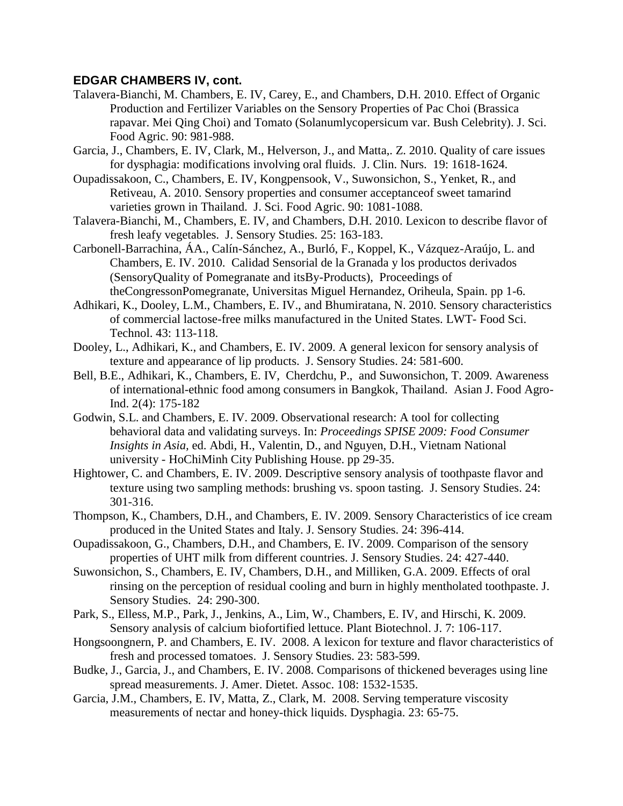- Talavera-Bianchi, M. Chambers, E. IV, Carey, E., and Chambers, D.H. 2010. Effect of Organic Production and Fertilizer Variables on the Sensory Properties of Pac Choi (Brassica rapavar. Mei Qing Choi) and Tomato (Solanumlycopersicum var. Bush Celebrity). J. Sci. Food Agric. 90: 981-988.
- Garcia, J., Chambers, E. IV, Clark, M., Helverson, J., and Matta,. Z. 2010. Quality of care issues for dysphagia: modifications involving oral fluids. J. Clin. Nurs. 19: 1618-1624.
- Oupadissakoon, C., Chambers, E. IV, Kongpensook, V., Suwonsichon, S., Yenket, R., and Retiveau, A. 2010. Sensory properties and consumer acceptanceof sweet tamarind varieties grown in Thailand. J. Sci. Food Agric. 90: 1081-1088.
- Talavera-Bianchi, M., Chambers, E. IV, and Chambers, D.H. 2010. Lexicon to describe flavor of fresh leafy vegetables. J. Sensory Studies. 25: 163-183.
- Carbonell-Barrachina, ÁA., Calín-Sánchez, A., Burló, F., Koppel, K., Vázquez-Araújo, L. and Chambers, E. IV. 2010. Calidad Sensorial de la Granada y los productos derivados (SensoryQuality of Pomegranate and itsBy-Products), Proceedings of theCongressonPomegranate, Universitas Miguel Hernandez, Oriheula, Spain. pp 1-6.
- Adhikari, K., Dooley, L.M., Chambers, E. IV., and Bhumiratana, N. 2010. Sensory characteristics of commercial lactose-free milks manufactured in the United States. LWT- Food Sci. Technol. 43: 113-118.
- Dooley, L., Adhikari, K., and Chambers, E. IV. 2009. A general lexicon for sensory analysis of texture and appearance of lip products. J. Sensory Studies. 24: 581-600.
- Bell, B.E., Adhikari, K., Chambers, E. IV, Cherdchu, P., and Suwonsichon, T. 2009. Awareness of international-ethnic food among consumers in Bangkok, Thailand. Asian J. Food Agro-Ind. 2(4): 175-182
- Godwin, S.L. and Chambers, E. IV. 2009. Observational research: A tool for collecting behavioral data and validating surveys. In: *Proceedings SPISE 2009: Food Consumer Insights in Asia,* ed. Abdi, H., Valentin, D., and Nguyen, D.H., Vietnam National university - HoChiMinh City Publishing House. pp 29-35.
- Hightower, C. and Chambers, E. IV. 2009. Descriptive sensory analysis of toothpaste flavor and texture using two sampling methods: brushing vs. spoon tasting. J. Sensory Studies. 24: 301-316.
- Thompson, K., Chambers, D.H., and Chambers, E. IV. 2009. Sensory Characteristics of ice cream produced in the United States and Italy. J. Sensory Studies. 24: 396-414.
- Oupadissakoon, G., Chambers, D.H., and Chambers, E. IV. 2009. Comparison of the sensory properties of UHT milk from different countries. J. Sensory Studies. 24: 427-440.
- Suwonsichon, S., Chambers, E. IV, Chambers, D.H., and Milliken, G.A. 2009. Effects of oral rinsing on the perception of residual cooling and burn in highly mentholated toothpaste. J. Sensory Studies. 24: 290-300.
- Park, S., Elless, M.P., Park, J., Jenkins, A., Lim, W., Chambers, E. IV, and Hirschi, K. 2009. Sensory analysis of calcium biofortified lettuce. Plant Biotechnol. J. 7: 106-117.
- Hongsoongnern, P. and Chambers, E. IV. 2008. A lexicon for texture and flavor characteristics of fresh and processed tomatoes. J. Sensory Studies. 23: 583-599.
- Budke, J., Garcia, J., and Chambers, E. IV. 2008. Comparisons of thickened beverages using line spread measurements. J. Amer. Dietet. Assoc. 108: 1532-1535.
- Garcia, J.M., Chambers, E. IV, Matta, Z., Clark, M. 2008. Serving temperature viscosity measurements of nectar and honey-thick liquids. Dysphagia. 23: 65-75.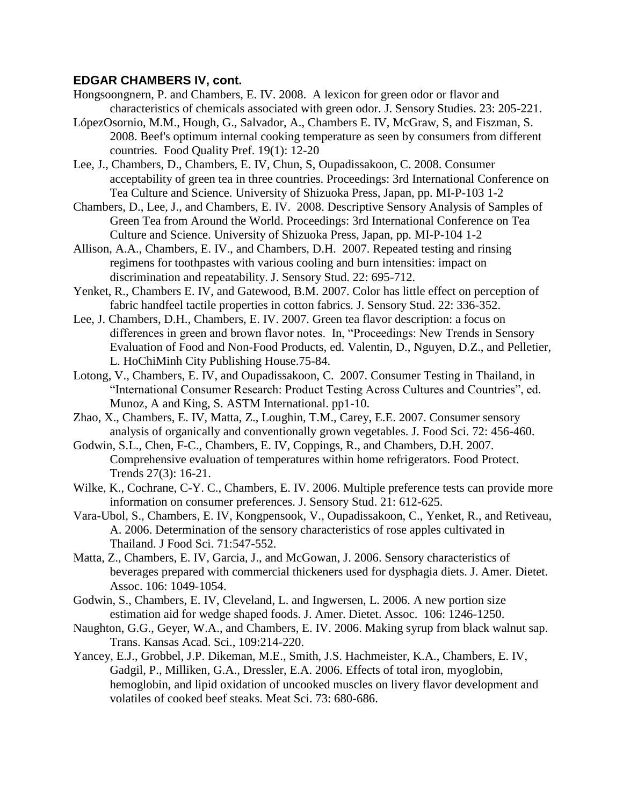- Hongsoongnern, P. and Chambers, E. IV. 2008. A lexicon for green odor or flavor and characteristics of chemicals associated with green odor. J. Sensory Studies. 23: 205-221.
- LópezOsornio, M.M., Hough, G., Salvador, A., Chambers E. IV, McGraw, S, and Fiszman, S. 2008. Beef's optimum internal cooking temperature as seen by consumers from different countries. Food Quality Pref. 19(1): 12-20
- Lee, J., Chambers, D., Chambers, E. IV, Chun, S, Oupadissakoon, C. 2008. Consumer acceptability of green tea in three countries. Proceedings: 3rd International Conference on Tea Culture and Science. University of Shizuoka Press, Japan, pp. MI-P-103 1-2
- Chambers, D., Lee, J., and Chambers, E. IV. 2008. Descriptive Sensory Analysis of Samples of Green Tea from Around the World. Proceedings: 3rd International Conference on Tea Culture and Science. University of Shizuoka Press, Japan, pp. MI-P-104 1-2
- Allison, A.A., Chambers, E. IV., and Chambers, D.H. 2007. Repeated testing and rinsing regimens for toothpastes with various cooling and burn intensities: impact on discrimination and repeatability. J. Sensory Stud. 22: 695-712.
- Yenket, R., Chambers E. IV, and Gatewood, B.M. 2007. Color has little effect on perception of fabric handfeel tactile properties in cotton fabrics. J. Sensory Stud. 22: 336-352.
- Lee, J. Chambers, D.H., Chambers, E. IV. 2007. Green tea flavor description: a focus on differences in green and brown flavor notes. In, "Proceedings: New Trends in Sensory Evaluation of Food and Non-Food Products, ed. Valentin, D., Nguyen, D.Z., and Pelletier, L. HoChiMinh City Publishing House.75-84.
- Lotong, V., Chambers, E. IV, and Oupadissakoon, C. 2007. Consumer Testing in Thailand, in "International Consumer Research: Product Testing Across Cultures and Countries", ed. Munoz, A and King, S. ASTM International. pp1-10.
- Zhao, X., Chambers, E. IV, Matta, Z., Loughin, T.M., Carey, E.E. 2007. Consumer sensory analysis of organically and conventionally grown vegetables. J. Food Sci. 72: 456-460.
- Godwin, S.L., Chen, F-C., Chambers, E. IV, Coppings, R., and Chambers, D.H. 2007. Comprehensive evaluation of temperatures within home refrigerators. Food Protect. Trends 27(3): 16-21.
- Wilke, K., Cochrane, C-Y. C., Chambers, E. IV. 2006. Multiple preference tests can provide more information on consumer preferences. J. Sensory Stud. 21: 612-625.
- Vara-Ubol, S., Chambers, E. IV, Kongpensook, V., Oupadissakoon, C., Yenket, R., and Retiveau, A. 2006. Determination of the sensory characteristics of rose apples cultivated in Thailand. J Food Sci. 71:547-552.
- Matta, Z., Chambers, E. IV, Garcia, J., and McGowan, J. 2006. Sensory characteristics of beverages prepared with commercial thickeners used for dysphagia diets. J. Amer. Dietet. Assoc. 106: 1049-1054.
- Godwin, S., Chambers, E. IV, Cleveland, L. and Ingwersen, L. 2006. A new portion size estimation aid for wedge shaped foods. J. Amer. Dietet. Assoc. 106: 1246-1250.
- Naughton, G.G., Geyer, W.A., and Chambers, E. IV. 2006. Making syrup from black walnut sap. Trans. Kansas Acad. Sci., 109:214-220.
- Yancey, E.J., Grobbel, J.P. Dikeman, M.E., Smith, J.S. Hachmeister, K.A., Chambers, E. IV, Gadgil, P., Milliken, G.A., Dressler, E.A. 2006. Effects of total iron, myoglobin, hemoglobin, and lipid oxidation of uncooked muscles on livery flavor development and volatiles of cooked beef steaks. Meat Sci. 73: 680-686.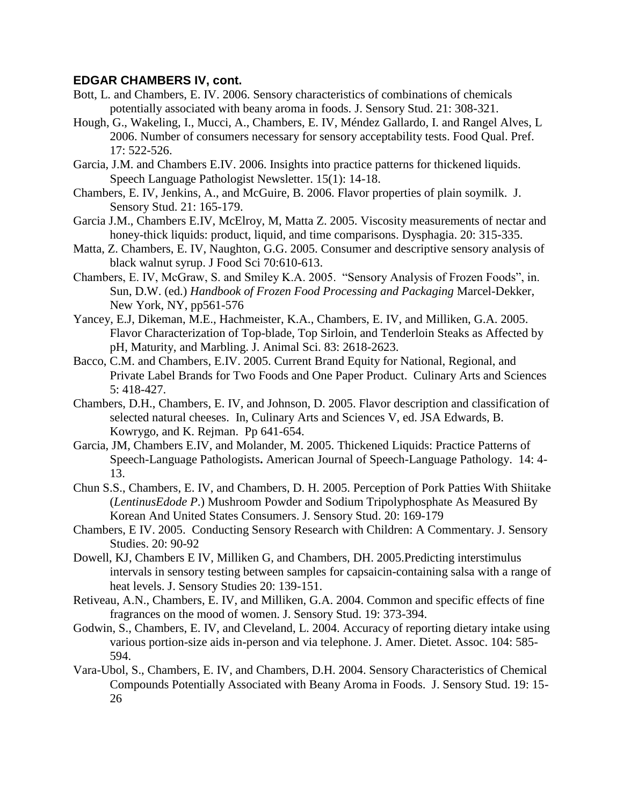- Bott, L. and Chambers, E. IV. 2006. Sensory characteristics of combinations of chemicals potentially associated with beany aroma in foods. J. Sensory Stud. 21: 308-321.
- Hough, G., Wakeling, I., Mucci, A., Chambers, E. IV, Méndez Gallardo, I. and Rangel Alves, L 2006. Number of consumers necessary for sensory acceptability tests. Food Qual. Pref. 17: 522-526.
- Garcia, J.M. and Chambers E.IV. 2006. Insights into practice patterns for thickened liquids. Speech Language Pathologist Newsletter. 15(1): 14-18.
- Chambers, E. IV, Jenkins, A., and McGuire, B. 2006. Flavor properties of plain soymilk. J. Sensory Stud. 21: 165-179.
- Garcia J.M., Chambers E.IV, McElroy, M, Matta Z. 2005. Viscosity measurements of nectar and honey-thick liquids: product, liquid, and time comparisons. Dysphagia. 20: 315-335.
- Matta, Z. Chambers, E. IV, Naughton, G.G. 2005. Consumer and descriptive sensory analysis of black walnut syrup. J Food Sci 70:610-613.
- Chambers, E. IV, McGraw, S. and Smiley K.A. 2005. "Sensory Analysis of Frozen Foods", in. Sun, D.W. (ed.) *Handbook of Frozen Food Processing and Packaging* Marcel-Dekker, New York, NY, pp561-576
- Yancey, E.J, Dikeman, M.E., Hachmeister, K.A., Chambers, E. IV, and Milliken, G.A. 2005. Flavor Characterization of Top-blade, Top Sirloin, and Tenderloin Steaks as Affected by pH, Maturity, and Marbling. J. Animal Sci. 83: 2618-2623.
- Bacco, C.M. and Chambers, E.IV. 2005. Current Brand Equity for National, Regional, and Private Label Brands for Two Foods and One Paper Product. Culinary Arts and Sciences 5: 418-427.
- Chambers, D.H., Chambers, E. IV, and Johnson, D. 2005. Flavor description and classification of selected natural cheeses. In, Culinary Arts and Sciences V, ed. JSA Edwards, B. Kowrygo, and K. Rejman. Pp 641-654.
- Garcia, JM, Chambers E.IV, and Molander, M. 2005. Thickened Liquids: Practice Patterns of Speech-Language Pathologists**.** American Journal of Speech-Language Pathology. 14: 4- 13.
- Chun S.S., Chambers, E. IV, and Chambers, D. H. 2005. Perception of Pork Patties With Shiitake (*LentinusEdode P*.) Mushroom Powder and Sodium Tripolyphosphate As Measured By Korean And United States Consumers. J. Sensory Stud. 20: 169-179
- Chambers, E IV. 2005. Conducting Sensory Research with Children: A Commentary. J. Sensory Studies. 20: 90-92
- Dowell, KJ, Chambers E IV, Milliken G, and Chambers, DH. 2005.Predicting interstimulus intervals in sensory testing between samples for capsaicin-containing salsa with a range of heat levels. J. Sensory Studies 20: 139-151.
- Retiveau, A.N., Chambers, E. IV, and Milliken, G.A. 2004. Common and specific effects of fine fragrances on the mood of women. J. Sensory Stud. 19: 373-394.
- Godwin, S., Chambers, E. IV, and Cleveland, L. 2004. Accuracy of reporting dietary intake using various portion-size aids in-person and via telephone. J. Amer. Dietet. Assoc. 104: 585- 594.
- Vara-Ubol, S., Chambers, E. IV, and Chambers, D.H. 2004. Sensory Characteristics of Chemical Compounds Potentially Associated with Beany Aroma in Foods. J. Sensory Stud. 19: 15- 26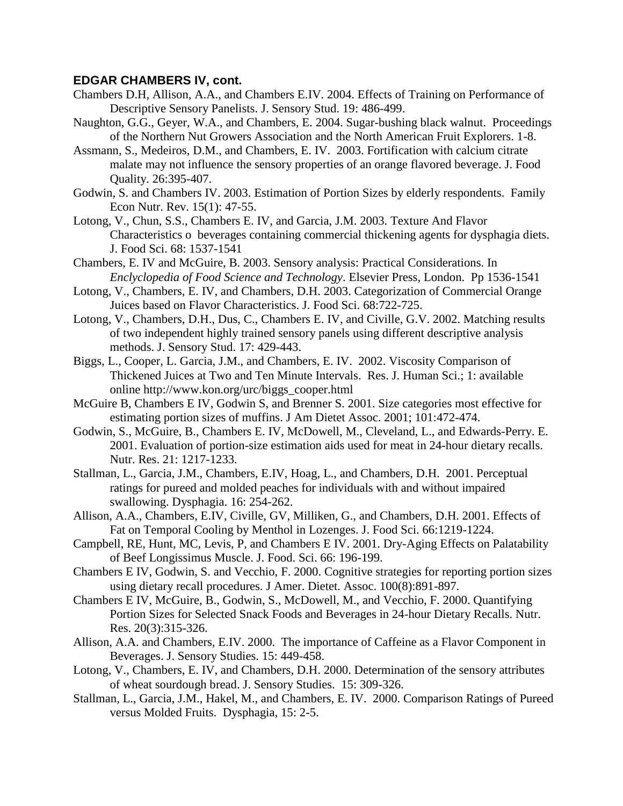- Chambers D.H, Allison, A.A., and Chambers E.IV. 2004. Effects of Training on Performance of Descriptive Sensory Panelists. J. Sensory Stud. 19: 486-499.
- Naughton, G.G., Geyer, W.A., and Chambers, E. 2004. Sugar-bushing black walnut. Proceedings of the Northern Nut Growers Association and the North American Fruit Explorers. 1-8.
- Assmann, S., Medeiros, D.M., and Chambers, E. IV. 2003. Fortification with calcium citrate malate may not influence the sensory properties of an orange flavored beverage. J. Food Quality. 26:395-407.
- Godwin, S. and Chambers IV. 2003. Estimation of Portion Sizes by elderly respondents. Family Econ Nutr. Rev. 15(1): 47-55.
- Lotong, V., Chun, S.S., Chambers E. IV, and Garcia, J.M. 2003. Texture And Flavor Characteristics o beverages containing commercial thickening agents for dysphagia diets. J. Food Sci. 68: 1537-1541
- Chambers, E. IV and McGuire, B. 2003. Sensory analysis: Practical Considerations. In *Enclyclopedia of Food Science and Technology*. Elsevier Press, London. Pp 1536-1541
- Lotong, V., Chambers, E. IV, and Chambers, D.H. 2003. Categorization of Commercial Orange Juices based on Flavor Characteristics. J. Food Sci. 68:722-725.
- Lotong, V., Chambers, D.H., Dus, C., Chambers E. IV, and Civille, G.V. 2002. Matching results of two independent highly trained sensory panels using different descriptive analysis methods. J. Sensory Stud. 17: 429-443.
- Biggs, L., Cooper, L. Garcia, J.M., and Chambers, E. IV. 2002. Viscosity Comparison of Thickened Juices at Two and Ten Minute Intervals. Res. J. Human Sci.; 1: available online http://www.kon.org/urc/biggs\_cooper.html
- McGuire B, Chambers E IV, Godwin S, and Brenner S. 2001. Size categories most effective for estimating portion sizes of muffins. J Am Dietet Assoc. 2001; 101:472-474.
- Godwin, S., McGuire, B., Chambers E. IV, McDowell, M., Cleveland, L., and Edwards-Perry. E. 2001. Evaluation of portion-size estimation aids used for meat in 24-hour dietary recalls. Nutr. Res. 21: 1217-1233.
- Stallman, L., Garcia, J.M., Chambers, E.IV, Hoag, L., and Chambers, D.H. 2001. Perceptual ratings for pureed and molded peaches for individuals with and without impaired swallowing. Dysphagia. 16: 254-262.
- Allison, A.A., Chambers, E.IV, Civille, GV, Milliken, G., and Chambers, D.H. 2001. Effects of Fat on Temporal Cooling by Menthol in Lozenges. J. Food Sci. 66:1219-1224.
- Campbell, RE, Hunt, MC, Levis, P, and Chambers E IV. 2001. Dry-Aging Effects on Palatability of Beef Longissimus Muscle. J. Food. Sci. 66: 196-199.
- Chambers E IV, Godwin, S. and Vecchio, F. 2000. Cognitive strategies for reporting portion sizes using dietary recall procedures. J Amer. Dietet. Assoc. 100(8):891-897.
- Chambers E IV, McGuire, B., Godwin, S., McDowell, M., and Vecchio, F. 2000. Quantifying Portion Sizes for Selected Snack Foods and Beverages in 24-hour Dietary Recalls. Nutr. Res. 20(3):315-326.
- Allison, A.A. and Chambers, E.IV. 2000. The importance of Caffeine as a Flavor Component in Beverages. J. Sensory Studies. 15: 449-458.
- Lotong, V., Chambers, E. IV, and Chambers, D.H. 2000. Determination of the sensory attributes of wheat sourdough bread. J. Sensory Studies. 15: 309-326.
- Stallman, L., Garcia, J.M., Hakel, M., and Chambers, E. IV. 2000. Comparison Ratings of Pureed versus Molded Fruits. Dysphagia, 15: 2-5.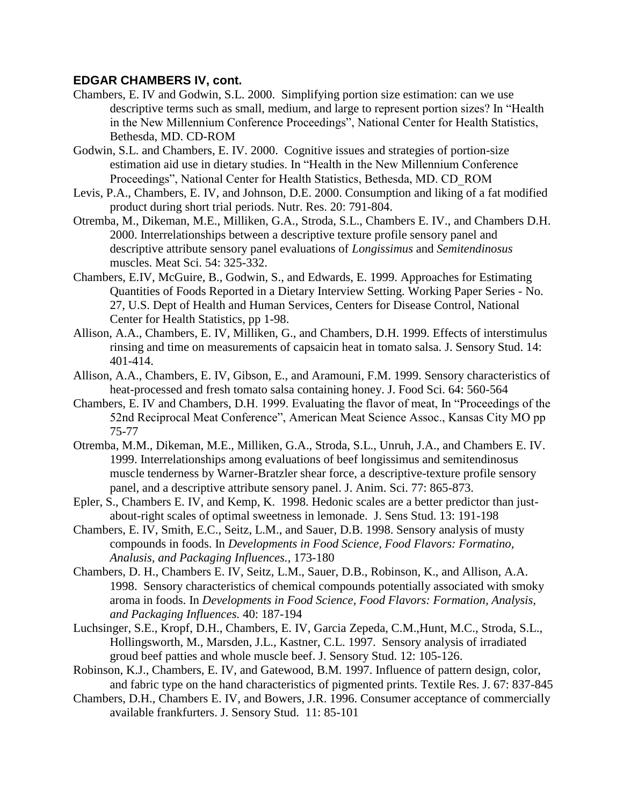- Chambers, E. IV and Godwin, S.L. 2000. Simplifying portion size estimation: can we use descriptive terms such as small, medium, and large to represent portion sizes? In "Health in the New Millennium Conference Proceedings", National Center for Health Statistics, Bethesda, MD. CD-ROM
- Godwin, S.L. and Chambers, E. IV. 2000. Cognitive issues and strategies of portion-size estimation aid use in dietary studies. In "Health in the New Millennium Conference Proceedings", National Center for Health Statistics, Bethesda, MD. CD\_ROM
- Levis, P.A., Chambers, E. IV, and Johnson, D.E. 2000. Consumption and liking of a fat modified product during short trial periods. Nutr. Res. 20: 791-804.
- Otremba, M., Dikeman, M.E., Milliken, G.A., Stroda, S.L., Chambers E. IV., and Chambers D.H. 2000. Interrelationships between a descriptive texture profile sensory panel and descriptive attribute sensory panel evaluations of *Longissimus* and *Semitendinosus* muscles. Meat Sci. 54: 325-332.
- Chambers, E.IV, McGuire, B., Godwin, S., and Edwards, E. 1999. Approaches for Estimating Quantities of Foods Reported in a Dietary Interview Setting. Working Paper Series - No. 27, U.S. Dept of Health and Human Services, Centers for Disease Control, National Center for Health Statistics, pp 1-98.
- Allison, A.A., Chambers, E. IV, Milliken, G., and Chambers, D.H. 1999. Effects of interstimulus rinsing and time on measurements of capsaicin heat in tomato salsa. J. Sensory Stud. 14: 401-414.
- Allison, A.A., Chambers, E. IV, Gibson, E., and Aramouni, F.M. 1999. Sensory characteristics of heat-processed and fresh tomato salsa containing honey. J. Food Sci. 64: 560-564
- Chambers, E. IV and Chambers, D.H. 1999. Evaluating the flavor of meat, In "Proceedings of the 52nd Reciprocal Meat Conference", American Meat Science Assoc., Kansas City MO pp 75-77
- Otremba, M.M., Dikeman, M.E., Milliken, G.A., Stroda, S.L., Unruh, J.A., and Chambers E. IV. 1999. Interrelationships among evaluations of beef longissimus and semitendinosus muscle tenderness by Warner-Bratzler shear force, a descriptive-texture profile sensory panel, and a descriptive attribute sensory panel. J. Anim. Sci. 77: 865-873.
- Epler, S., Chambers E. IV, and Kemp, K. 1998. Hedonic scales are a better predictor than justabout-right scales of optimal sweetness in lemonade. J. Sens Stud. 13: 191-198
- Chambers, E. IV, Smith, E.C., Seitz, L.M., and Sauer, D.B. 1998. Sensory analysis of musty compounds in foods. In *Developments in Food Science, Food Flavors: Formatino, Analusis, and Packaging Influences.*, 173-180
- Chambers, D. H., Chambers E. IV, Seitz, L.M., Sauer, D.B., Robinson, K., and Allison, A.A. 1998. Sensory characteristics of chemical compounds potentially associated with smoky aroma in foods. In *Developments in Food Science, Food Flavors: Formation, Analysis, and Packaging Influences.* 40: 187-194
- Luchsinger, S.E., Kropf, D.H., Chambers, E. IV, Garcia Zepeda, C.M.,Hunt, M.C., Stroda, S.L., Hollingsworth, M., Marsden, J.L., Kastner, C.L. 1997. Sensory analysis of irradiated groud beef patties and whole muscle beef. J. Sensory Stud. 12: 105-126.
- Robinson, K.J., Chambers, E. IV, and Gatewood, B.M. 1997. Influence of pattern design, color, and fabric type on the hand characteristics of pigmented prints. Textile Res. J. 67: 837-845
- Chambers, D.H., Chambers E. IV, and Bowers, J.R. 1996. Consumer acceptance of commercially available frankfurters. J. Sensory Stud. 11: 85-101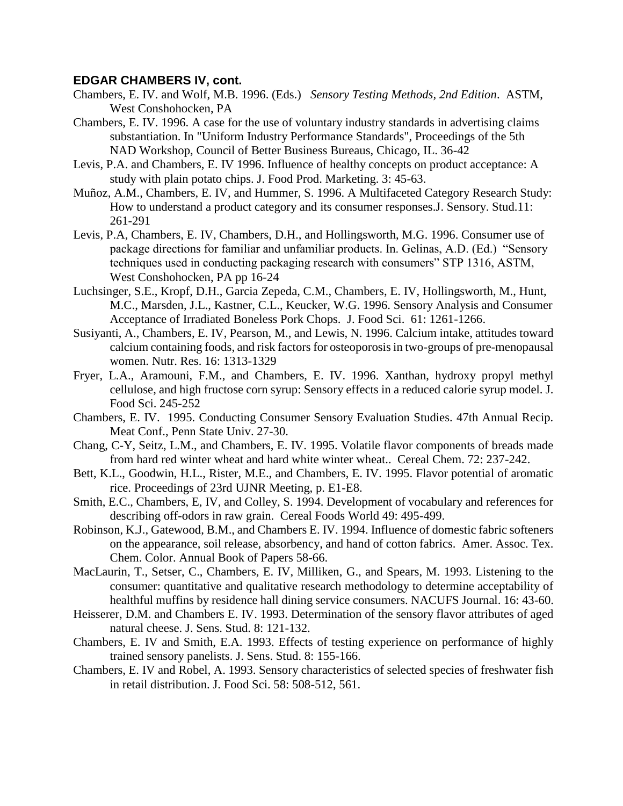- Chambers, E. IV. and Wolf, M.B. 1996. (Eds.) *Sensory Testing Methods, 2nd Edition*. ASTM, West Conshohocken, PA
- Chambers, E. IV. 1996. A case for the use of voluntary industry standards in advertising claims substantiation. In "Uniform Industry Performance Standards", Proceedings of the 5th NAD Workshop, Council of Better Business Bureaus, Chicago, IL. 36-42
- Levis, P.A. and Chambers, E. IV 1996. Influence of healthy concepts on product acceptance: A study with plain potato chips. J. Food Prod. Marketing. 3: 45-63.
- Muñoz, A.M., Chambers, E. IV, and Hummer, S. 1996. A Multifaceted Category Research Study: How to understand a product category and its consumer responses.J. Sensory. Stud.11: 261-291
- Levis, P.A, Chambers, E. IV, Chambers, D.H., and Hollingsworth, M.G. 1996. Consumer use of package directions for familiar and unfamiliar products. In. Gelinas, A.D. (Ed.) "Sensory techniques used in conducting packaging research with consumers" STP 1316, ASTM, West Conshohocken, PA pp 16-24
- Luchsinger, S.E., Kropf, D.H., Garcia Zepeda, C.M., Chambers, E. IV, Hollingsworth, M., Hunt, M.C., Marsden, J.L., Kastner, C.L., Keucker, W.G. 1996. Sensory Analysis and Consumer Acceptance of Irradiated Boneless Pork Chops. J. Food Sci. 61: 1261-1266.
- Susiyanti, A., Chambers, E. IV, Pearson, M., and Lewis, N. 1996. Calcium intake, attitudes toward calcium containing foods, and risk factors for osteoporosis in two-groups of pre-menopausal women. Nutr. Res. 16: 1313-1329
- Fryer, L.A., Aramouni, F.M., and Chambers, E. IV. 1996. Xanthan, hydroxy propyl methyl cellulose, and high fructose corn syrup: Sensory effects in a reduced calorie syrup model. J. Food Sci. 245-252
- Chambers, E. IV. 1995. Conducting Consumer Sensory Evaluation Studies. 47th Annual Recip. Meat Conf., Penn State Univ. 27-30.
- Chang, C-Y, Seitz, L.M., and Chambers, E. IV. 1995. Volatile flavor components of breads made from hard red winter wheat and hard white winter wheat.. Cereal Chem. 72: 237-242.
- Bett, K.L., Goodwin, H.L., Rister, M.E., and Chambers, E. IV. 1995. Flavor potential of aromatic rice. Proceedings of 23rd UJNR Meeting, p. E1-E8.
- Smith, E.C., Chambers, E, IV, and Colley, S. 1994. Development of vocabulary and references for describing off-odors in raw grain. Cereal Foods World 49: 495-499.
- Robinson, K.J., Gatewood, B.M., and Chambers E. IV. 1994. Influence of domestic fabric softeners on the appearance, soil release, absorbency, and hand of cotton fabrics. Amer. Assoc. Tex. Chem. Color. Annual Book of Papers 58-66.
- MacLaurin, T., Setser, C., Chambers, E. IV, Milliken, G., and Spears, M. 1993. Listening to the consumer: quantitative and qualitative research methodology to determine acceptability of healthful muffins by residence hall dining service consumers. NACUFS Journal. 16: 43-60.
- Heisserer, D.M. and Chambers E. IV. 1993. Determination of the sensory flavor attributes of aged natural cheese. J. Sens. Stud. 8: 121-132.
- Chambers, E. IV and Smith, E.A. 1993. Effects of testing experience on performance of highly trained sensory panelists. J. Sens. Stud. 8: 155-166.
- Chambers, E. IV and Robel, A. 1993. Sensory characteristics of selected species of freshwater fish in retail distribution. J. Food Sci. 58: 508-512, 561.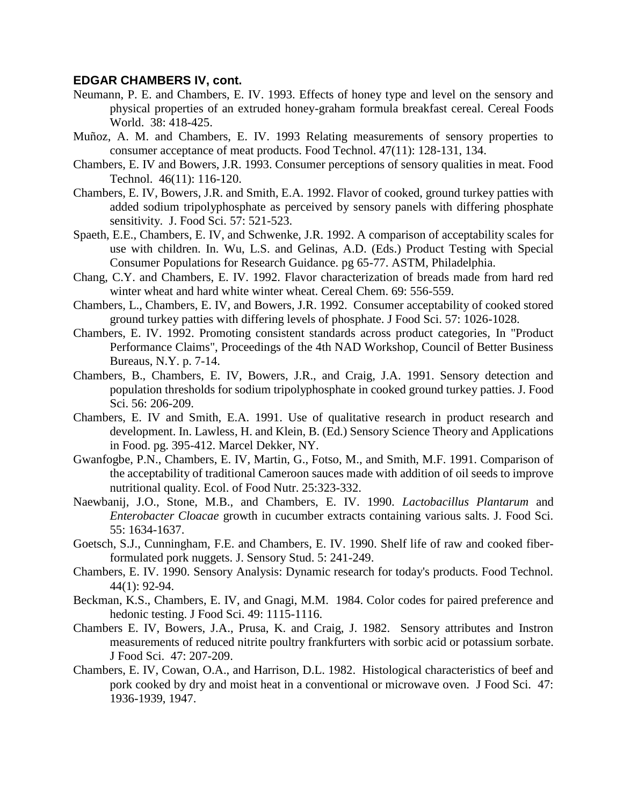- Neumann, P. E. and Chambers, E. IV. 1993. Effects of honey type and level on the sensory and physical properties of an extruded honey-graham formula breakfast cereal. Cereal Foods World. 38: 418-425.
- Muñoz, A. M. and Chambers, E. IV. 1993 Relating measurements of sensory properties to consumer acceptance of meat products. Food Technol. 47(11): 128-131, 134.
- Chambers, E. IV and Bowers, J.R. 1993. Consumer perceptions of sensory qualities in meat. Food Technol. 46(11): 116-120.
- Chambers, E. IV, Bowers, J.R. and Smith, E.A. 1992. Flavor of cooked, ground turkey patties with added sodium tripolyphosphate as perceived by sensory panels with differing phosphate sensitivity. J. Food Sci. 57: 521-523.
- Spaeth, E.E., Chambers, E. IV, and Schwenke, J.R. 1992. A comparison of acceptability scales for use with children. In. Wu, L.S. and Gelinas, A.D. (Eds.) Product Testing with Special Consumer Populations for Research Guidance. pg 65-77. ASTM, Philadelphia.
- Chang, C.Y. and Chambers, E. IV. 1992. Flavor characterization of breads made from hard red winter wheat and hard white winter wheat. Cereal Chem. 69: 556-559.
- Chambers, L., Chambers, E. IV, and Bowers, J.R. 1992. Consumer acceptability of cooked stored ground turkey patties with differing levels of phosphate. J Food Sci. 57: 1026-1028.
- Chambers, E. IV. 1992. Promoting consistent standards across product categories, In "Product Performance Claims", Proceedings of the 4th NAD Workshop, Council of Better Business Bureaus, N.Y. p. 7-14.
- Chambers, B., Chambers, E. IV, Bowers, J.R., and Craig, J.A. 1991. Sensory detection and population thresholds for sodium tripolyphosphate in cooked ground turkey patties. J. Food Sci. 56: 206-209.
- Chambers, E. IV and Smith, E.A. 1991. Use of qualitative research in product research and development. In. Lawless, H. and Klein, B. (Ed.) Sensory Science Theory and Applications in Food. pg. 395-412. Marcel Dekker, NY.
- Gwanfogbe, P.N., Chambers, E. IV, Martin, G., Fotso, M., and Smith, M.F. 1991. Comparison of the acceptability of traditional Cameroon sauces made with addition of oil seeds to improve nutritional quality. Ecol. of Food Nutr. 25:323-332.
- Naewbanij, J.O., Stone, M.B., and Chambers, E. IV. 1990. *Lactobacillus Plantarum* and *Enterobacter Cloacae* growth in cucumber extracts containing various salts. J. Food Sci. 55: 1634-1637.
- Goetsch, S.J., Cunningham, F.E. and Chambers, E. IV. 1990. Shelf life of raw and cooked fiberformulated pork nuggets. J. Sensory Stud. 5: 241-249.
- Chambers, E. IV. 1990. Sensory Analysis: Dynamic research for today's products. Food Technol. 44(1): 92-94.
- Beckman, K.S., Chambers, E. IV, and Gnagi, M.M. 1984. Color codes for paired preference and hedonic testing. J Food Sci. 49: 1115-1116.
- Chambers E. IV, Bowers, J.A., Prusa, K. and Craig, J. 1982. Sensory attributes and Instron measurements of reduced nitrite poultry frankfurters with sorbic acid or potassium sorbate. J Food Sci. 47: 207-209.
- Chambers, E. IV, Cowan, O.A., and Harrison, D.L. 1982. Histological characteristics of beef and pork cooked by dry and moist heat in a conventional or microwave oven. J Food Sci. 47: 1936-1939, 1947.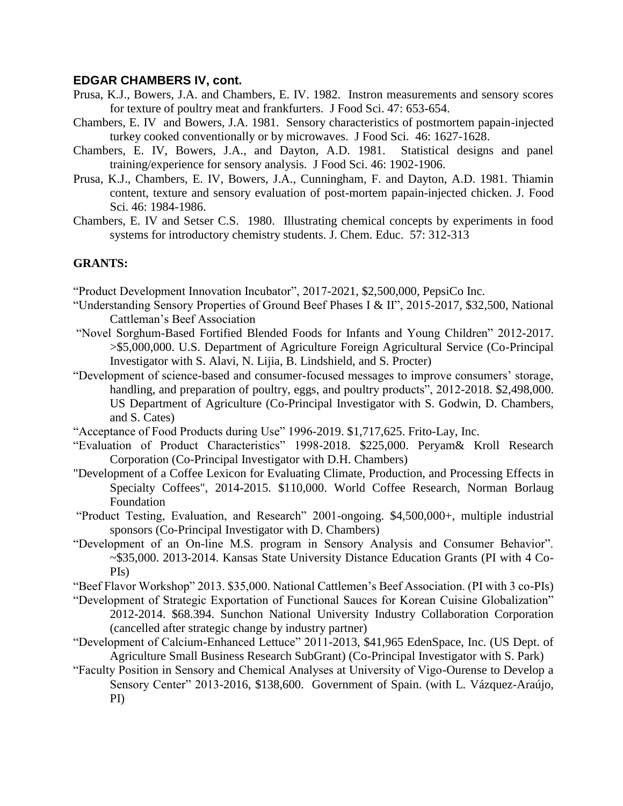- Prusa, K.J., Bowers, J.A. and Chambers, E. IV. 1982. Instron measurements and sensory scores for texture of poultry meat and frankfurters. J Food Sci. 47: 653-654.
- Chambers, E. IV and Bowers, J.A. 1981. Sensory characteristics of postmortem papain-injected turkey cooked conventionally or by microwaves. J Food Sci. 46: 1627-1628.
- Chambers, E. IV, Bowers, J.A., and Dayton, A.D. 1981. Statistical designs and panel training/experience for sensory analysis. J Food Sci. 46: 1902-1906.
- Prusa, K.J., Chambers, E. IV, Bowers, J.A., Cunningham, F. and Dayton, A.D. 1981. Thiamin content, texture and sensory evaluation of post-mortem papain-injected chicken. J. Food Sci. 46: 1984-1986.
- Chambers, E. IV and Setser C.S. 1980. Illustrating chemical concepts by experiments in food systems for introductory chemistry students. J. Chem. Educ. 57: 312-313

### **GRANTS:**

"Product Development Innovation Incubator", 2017-2021, \$2,500,000, PepsiCo Inc.

- "Understanding Sensory Properties of Ground Beef Phases I & II", 2015-2017, \$32,500, National Cattleman's Beef Association
- "Novel Sorghum-Based Fortified Blended Foods for Infants and Young Children" 2012-2017. >\$5,000,000. U.S. Department of Agriculture Foreign Agricultural Service (Co-Principal Investigator with S. Alavi, N. Lijia, B. Lindshield, and S. Procter)
- "Development of science-based and consumer-focused messages to improve consumers' storage, handling, and preparation of poultry, eggs, and poultry products", 2012-2018. \$2,498,000. US Department of Agriculture (Co-Principal Investigator with S. Godwin, D. Chambers, and S. Cates)
- "Acceptance of Food Products during Use" 1996-2019. \$1,717,625. Frito-Lay, Inc.
- "Evaluation of Product Characteristics" 1998-2018. \$225,000. Peryam& Kroll Research Corporation (Co-Principal Investigator with D.H. Chambers)
- "Development of a Coffee Lexicon for Evaluating Climate, Production, and Processing Effects in Specialty Coffees", 2014-2015. \$110,000. World Coffee Research, Norman Borlaug Foundation
- "Product Testing, Evaluation, and Research" 2001-ongoing. \$4,500,000+, multiple industrial sponsors (Co-Principal Investigator with D. Chambers)
- "Development of an On-line M.S. program in Sensory Analysis and Consumer Behavior". ~\$35,000. 2013-2014. Kansas State University Distance Education Grants (PI with 4 Co-PIs)
- "Beef Flavor Workshop" 2013. \$35,000. National Cattlemen's Beef Association. (PI with 3 co-PIs)
- "Development of Strategic Exportation of Functional Sauces for Korean Cuisine Globalization" 2012-2014. \$68.394. Sunchon National University Industry Collaboration Corporation (cancelled after strategic change by industry partner)
- "Development of Calcium-Enhanced Lettuce" 2011-2013, \$41,965 EdenSpace, Inc. (US Dept. of Agriculture Small Business Research SubGrant) (Co-Principal Investigator with S. Park)
- "Faculty Position in Sensory and Chemical Analyses at University of Vigo-Ourense to Develop a Sensory Center" 2013-2016, \$138,600. Government of Spain. (with L. Vázquez-Araújo, PI)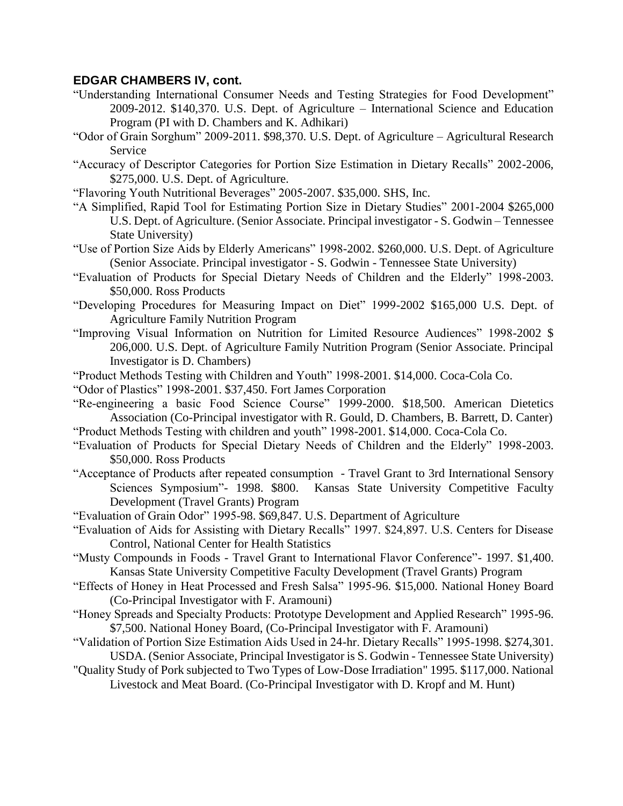- "Understanding International Consumer Needs and Testing Strategies for Food Development" 2009-2012. \$140,370. U.S. Dept. of Agriculture – International Science and Education Program (PI with D. Chambers and K. Adhikari)
- "Odor of Grain Sorghum" 2009-2011. \$98,370. U.S. Dept. of Agriculture Agricultural Research Service
- "Accuracy of Descriptor Categories for Portion Size Estimation in Dietary Recalls" 2002-2006, \$275,000. U.S. Dept. of Agriculture.
- "Flavoring Youth Nutritional Beverages" 2005-2007. \$35,000. SHS, Inc.
- "A Simplified, Rapid Tool for Estimating Portion Size in Dietary Studies" 2001-2004 \$265,000 U.S. Dept. of Agriculture. (Senior Associate. Principal investigator - S. Godwin – Tennessee State University)
- "Use of Portion Size Aids by Elderly Americans" 1998-2002. \$260,000. U.S. Dept. of Agriculture (Senior Associate. Principal investigator - S. Godwin - Tennessee State University)
- "Evaluation of Products for Special Dietary Needs of Children and the Elderly" 1998-2003. \$50,000. Ross Products
- "Developing Procedures for Measuring Impact on Diet" 1999-2002 \$165,000 U.S. Dept. of Agriculture Family Nutrition Program
- "Improving Visual Information on Nutrition for Limited Resource Audiences" 1998-2002 \$ 206,000. U.S. Dept. of Agriculture Family Nutrition Program (Senior Associate. Principal Investigator is D. Chambers)
- "Product Methods Testing with Children and Youth" 1998-2001. \$14,000. Coca-Cola Co.
- "Odor of Plastics" 1998-2001. \$37,450. Fort James Corporation
- "Re-engineering a basic Food Science Course" 1999-2000. \$18,500. American Dietetics Association (Co-Principal investigator with R. Gould, D. Chambers, B. Barrett, D. Canter) "Product Methods Testing with children and youth" 1998-2001. \$14,000. Coca-Cola Co.
- "Evaluation of Products for Special Dietary Needs of Children and the Elderly" 1998-2003. \$50,000. Ross Products
- "Acceptance of Products after repeated consumption Travel Grant to 3rd International Sensory Sciences Symposium"- 1998. \$800. Kansas State University Competitive Faculty Development (Travel Grants) Program
- "Evaluation of Grain Odor" 1995-98. \$69,847. U.S. Department of Agriculture
- "Evaluation of Aids for Assisting with Dietary Recalls" 1997. \$24,897. U.S. Centers for Disease Control, National Center for Health Statistics
- "Musty Compounds in Foods Travel Grant to International Flavor Conference"- 1997. \$1,400. Kansas State University Competitive Faculty Development (Travel Grants) Program
- "Effects of Honey in Heat Processed and Fresh Salsa" 1995-96. \$15,000. National Honey Board (Co-Principal Investigator with F. Aramouni)
- "Honey Spreads and Specialty Products: Prototype Development and Applied Research" 1995-96. \$7,500. National Honey Board, (Co-Principal Investigator with F. Aramouni)
- "Validation of Portion Size Estimation Aids Used in 24-hr. Dietary Recalls" 1995-1998. \$274,301. USDA. (Senior Associate, Principal Investigator is S. Godwin - Tennessee State University)
- "Quality Study of Pork subjected to Two Types of Low-Dose Irradiation" 1995. \$117,000. National Livestock and Meat Board. (Co-Principal Investigator with D. Kropf and M. Hunt)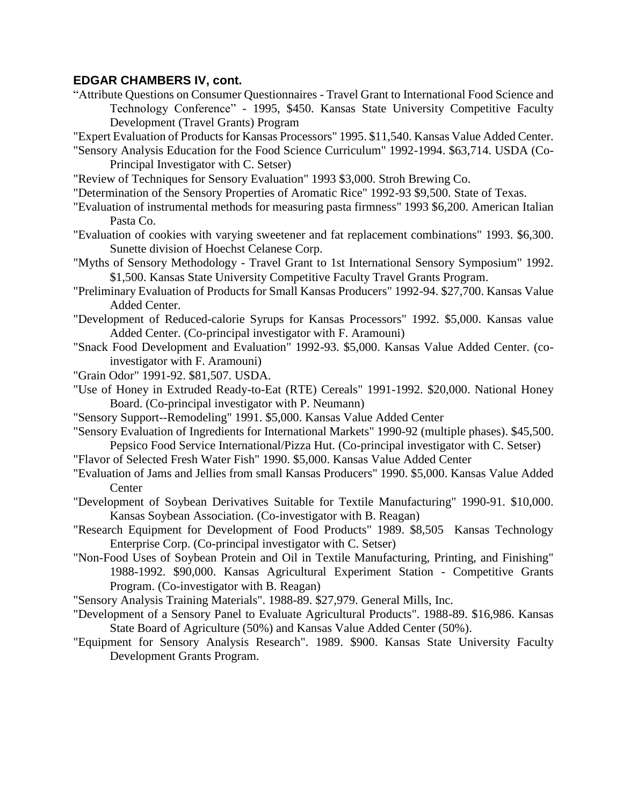- "Attribute Questions on Consumer Questionnaires Travel Grant to International Food Science and Technology Conference" - 1995, \$450. Kansas State University Competitive Faculty Development (Travel Grants) Program
- "Expert Evaluation of Products for Kansas Processors" 1995. \$11,540. Kansas Value Added Center.
- "Sensory Analysis Education for the Food Science Curriculum" 1992-1994. \$63,714. USDA (Co-Principal Investigator with C. Setser)
- "Review of Techniques for Sensory Evaluation" 1993 \$3,000. Stroh Brewing Co.
- "Determination of the Sensory Properties of Aromatic Rice" 1992-93 \$9,500. State of Texas.
- "Evaluation of instrumental methods for measuring pasta firmness" 1993 \$6,200. American Italian Pasta Co.
- "Evaluation of cookies with varying sweetener and fat replacement combinations" 1993. \$6,300. Sunette division of Hoechst Celanese Corp.
- "Myths of Sensory Methodology Travel Grant to 1st International Sensory Symposium" 1992. \$1,500. Kansas State University Competitive Faculty Travel Grants Program.
- "Preliminary Evaluation of Products for Small Kansas Producers" 1992-94. \$27,700. Kansas Value Added Center.
- "Development of Reduced-calorie Syrups for Kansas Processors" 1992. \$5,000. Kansas value Added Center. (Co-principal investigator with F. Aramouni)
- "Snack Food Development and Evaluation" 1992-93. \$5,000. Kansas Value Added Center. (coinvestigator with F. Aramouni)
- "Grain Odor" 1991-92. \$81,507. USDA.
- "Use of Honey in Extruded Ready-to-Eat (RTE) Cereals" 1991-1992. \$20,000. National Honey Board. (Co-principal investigator with P. Neumann)
- "Sensory Support--Remodeling" 1991. \$5,000. Kansas Value Added Center
- "Sensory Evaluation of Ingredients for International Markets" 1990-92 (multiple phases). \$45,500. Pepsico Food Service International/Pizza Hut. (Co-principal investigator with C. Setser)
- "Flavor of Selected Fresh Water Fish" 1990. \$5,000. Kansas Value Added Center
- "Evaluation of Jams and Jellies from small Kansas Producers" 1990. \$5,000. Kansas Value Added **Center**
- "Development of Soybean Derivatives Suitable for Textile Manufacturing" 1990-91. \$10,000. Kansas Soybean Association. (Co-investigator with B. Reagan)
- "Research Equipment for Development of Food Products" 1989. \$8,505 Kansas Technology Enterprise Corp. (Co-principal investigator with C. Setser)
- "Non-Food Uses of Soybean Protein and Oil in Textile Manufacturing, Printing, and Finishing" 1988-1992. \$90,000. Kansas Agricultural Experiment Station - Competitive Grants Program. (Co-investigator with B. Reagan)

"Sensory Analysis Training Materials". 1988-89. \$27,979. General Mills, Inc.

- "Development of a Sensory Panel to Evaluate Agricultural Products". 1988-89. \$16,986. Kansas State Board of Agriculture (50%) and Kansas Value Added Center (50%).
- "Equipment for Sensory Analysis Research". 1989. \$900. Kansas State University Faculty Development Grants Program.